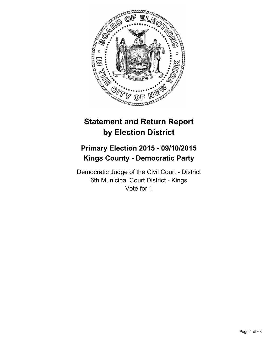

# **Statement and Return Report by Election District**

# **Primary Election 2015 - 09/10/2015 Kings County - Democratic Party**

Democratic Judge of the Civil Court - District 6th Municipal Court District - Kings Vote for 1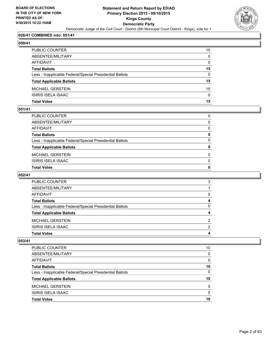

#### **026/41 COMBINED into: 051/41**

| с<br>Π<br>۱<br> |
|-----------------|
|                 |

| PUBLIC COUNTER                                           | 15           |
|----------------------------------------------------------|--------------|
| ABSENTEE/MILITARY                                        | $\mathbf{0}$ |
| <b>AFFIDAVIT</b>                                         | $\Omega$     |
| <b>Total Ballots</b>                                     | 15           |
| Less - Inapplicable Federal/Special Presidential Ballots | $\Omega$     |
| <b>Total Applicable Ballots</b>                          | 15           |
| <b>MICHAEL GERSTEIN</b>                                  | 15           |
| <b>ISIRIS ISELA ISAAC</b>                                | $\Omega$     |
| <b>Total Votes</b>                                       | 15           |

#### **051/41**

| PUBLIC COUNTER                                           | 0            |
|----------------------------------------------------------|--------------|
| ABSENTEE/MILITARY                                        | $\Omega$     |
| AFFIDAVIT                                                | $\mathbf{0}$ |
| Total Ballots                                            | 0            |
| Less - Inapplicable Federal/Special Presidential Ballots | $\Omega$     |
| <b>Total Applicable Ballots</b>                          | $\mathbf{0}$ |
| MICHAEL GERSTEIN                                         | $\Omega$     |
| ISIRIS ISELA ISAAC                                       | $\Omega$     |
| <b>Total Votes</b>                                       | $\mathbf{0}$ |
|                                                          |              |

#### **052/41**

| <b>PUBLIC COUNTER</b>                                    | 3 |
|----------------------------------------------------------|---|
| ABSENTEE/MILITARY                                        |   |
| AFFIDAVIT                                                | 0 |
| <b>Total Ballots</b>                                     | 4 |
| Less - Inapplicable Federal/Special Presidential Ballots | 0 |
| <b>Total Applicable Ballots</b>                          | 4 |
| <b>MICHAEL GERSTEIN</b>                                  | 2 |
| <b>ISIRIS ISELA ISAAC</b>                                | 2 |
| <b>Total Votes</b>                                       |   |

| PUBLIC COUNTER                                           | 10 |
|----------------------------------------------------------|----|
| ABSENTEE/MILITARY                                        | 0  |
| AFFIDAVIT                                                | 0  |
| <b>Total Ballots</b>                                     | 10 |
| Less - Inapplicable Federal/Special Presidential Ballots | 0  |
| <b>Total Applicable Ballots</b>                          | 10 |
| <b>MICHAEL GERSTEIN</b>                                  | 5  |
| <b>ISIRIS ISELA ISAAC</b>                                | 5  |
| <b>Total Votes</b>                                       | 10 |
|                                                          |    |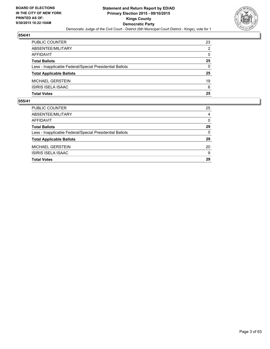

| PUBLIC COUNTER                                           | 23           |
|----------------------------------------------------------|--------------|
| ABSENTEE/MILITARY                                        | 2            |
| AFFIDAVIT                                                | $\mathbf{0}$ |
| <b>Total Ballots</b>                                     | 25           |
| Less - Inapplicable Federal/Special Presidential Ballots | $\Omega$     |
| <b>Total Applicable Ballots</b>                          | 25           |
| MICHAEL GERSTEIN                                         | 19           |
| ISIRIS ISELA ISAAC                                       | 6            |
| Total Votes                                              | 25           |

| 25       |
|----------|
| 4        |
| $\Omega$ |
| 29       |
| $\Omega$ |
| 29       |
| 20       |
| 9        |
| 29       |
|          |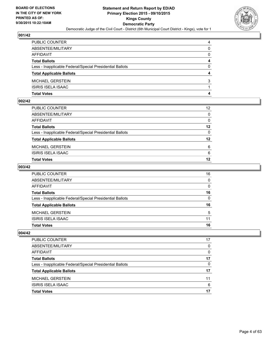

| PUBLIC COUNTER                                           | 4            |
|----------------------------------------------------------|--------------|
| ABSENTEE/MILITARY                                        | $\mathbf{0}$ |
| AFFIDAVIT                                                | 0            |
| <b>Total Ballots</b>                                     | 4            |
| Less - Inapplicable Federal/Special Presidential Ballots | $\Omega$     |
| <b>Total Applicable Ballots</b>                          | 4            |
| MICHAEL GERSTEIN                                         | 3            |
| ISIRIS ISELA ISAAC                                       |              |
| Total Votes                                              | 4            |

### **002/42**

| Total Votes                                              | 12              |
|----------------------------------------------------------|-----------------|
| ISIRIS ISELA ISAAC                                       | 6               |
| MICHAEL GERSTEIN                                         | 6               |
| <b>Total Applicable Ballots</b>                          | 12              |
| Less - Inapplicable Federal/Special Presidential Ballots | $\mathbf{0}$    |
| <b>Total Ballots</b>                                     | 12              |
| AFFIDAVIT                                                | 0               |
| ABSENTEE/MILITARY                                        | $\mathbf{0}$    |
| PUBLIC COUNTER                                           | 12 <sup>°</sup> |
|                                                          |                 |

#### **003/42**

| PUBLIC COUNTER                                           | 16           |
|----------------------------------------------------------|--------------|
| ABSENTEE/MILITARY                                        | $\mathbf{0}$ |
| AFFIDAVIT                                                | $\mathbf{0}$ |
| Total Ballots                                            | 16           |
| Less - Inapplicable Federal/Special Presidential Ballots | $\mathbf{0}$ |
| <b>Total Applicable Ballots</b>                          | 16           |
| MICHAEL GERSTEIN                                         | 5            |
| ISIRIS ISELA ISAAC                                       | 11           |
| Total Votes                                              | 16           |
|                                                          |              |

| PUBLIC COUNTER                                           | 17 |
|----------------------------------------------------------|----|
| ABSENTEE/MILITARY                                        | 0  |
| AFFIDAVIT                                                | 0  |
| <b>Total Ballots</b>                                     | 17 |
| Less - Inapplicable Federal/Special Presidential Ballots | 0  |
| <b>Total Applicable Ballots</b>                          | 17 |
| <b>MICHAEL GERSTEIN</b>                                  | 11 |
| ISIRIS ISELA ISAAC                                       | 6  |
| <b>Total Votes</b>                                       | 17 |
|                                                          |    |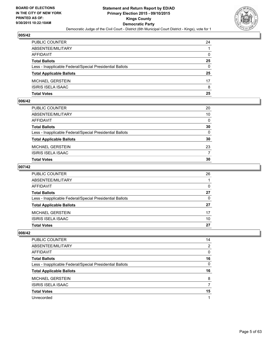

| PUBLIC COUNTER                                           | 24           |
|----------------------------------------------------------|--------------|
| ABSENTEE/MILITARY                                        |              |
| AFFIDAVIT                                                | $\mathbf{0}$ |
| Total Ballots                                            | 25           |
| Less - Inapplicable Federal/Special Presidential Ballots | $\Omega$     |
| <b>Total Applicable Ballots</b>                          | 25           |
| MICHAEL GERSTEIN                                         | 17           |
| ISIRIS ISELA ISAAC                                       | 8            |
| Total Votes                                              | 25           |

## **006/42**

| PUBLIC COUNTER                                           | 20           |
|----------------------------------------------------------|--------------|
| ABSENTEE/MILITARY                                        | 10           |
| AFFIDAVIT                                                | $\mathbf{0}$ |
| Total Ballots                                            | 30           |
| Less - Inapplicable Federal/Special Presidential Ballots | $\mathbf{0}$ |
| <b>Total Applicable Ballots</b>                          | 30           |
| MICHAEL GERSTEIN                                         | 23           |
| ISIRIS ISELA ISAAC                                       | 7            |
| Total Votes                                              | 30           |
|                                                          |              |

## **007/42**

| PUBLIC COUNTER                                           | 26 |
|----------------------------------------------------------|----|
| ABSENTEE/MILITARY                                        |    |
| AFFIDAVIT                                                | 0  |
| <b>Total Ballots</b>                                     | 27 |
| Less - Inapplicable Federal/Special Presidential Ballots | 0  |
| <b>Total Applicable Ballots</b>                          | 27 |
| MICHAEL GERSTEIN                                         | 17 |
| <b>ISIRIS ISELA ISAAC</b>                                | 10 |
| <b>Total Votes</b>                                       | 27 |
|                                                          |    |

| PUBLIC COUNTER                                           | 14 |
|----------------------------------------------------------|----|
| ABSENTEE/MILITARY                                        | 2  |
| AFFIDAVIT                                                | 0  |
| <b>Total Ballots</b>                                     | 16 |
| Less - Inapplicable Federal/Special Presidential Ballots | 0  |
| <b>Total Applicable Ballots</b>                          | 16 |
| <b>MICHAEL GERSTEIN</b>                                  | 8  |
| <b>ISIRIS ISELA ISAAC</b>                                |    |
| <b>Total Votes</b>                                       | 15 |
| Unrecorded                                               |    |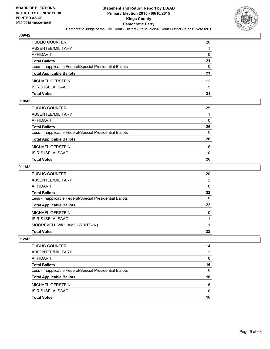

| PUBLIC COUNTER                                           | 20              |
|----------------------------------------------------------|-----------------|
| ABSENTEE/MILITARY                                        |                 |
| AFFIDAVIT                                                | $\mathbf{0}$    |
| <b>Total Ballots</b>                                     | 21              |
| Less - Inapplicable Federal/Special Presidential Ballots | $\Omega$        |
| <b>Total Applicable Ballots</b>                          | 21              |
| MICHAEL GERSTEIN                                         | 12 <sup>2</sup> |
| ISIRIS ISELA ISAAC                                       | 9               |
| Total Votes                                              | 21              |

### **010/42**

| PUBLIC COUNTER                                           | 25           |
|----------------------------------------------------------|--------------|
| ABSENTEE/MILITARY                                        |              |
| AFFIDAVIT                                                | 0            |
| <b>Total Ballots</b>                                     | 26           |
| Less - Inapplicable Federal/Special Presidential Ballots | $\mathbf{0}$ |
| <b>Total Applicable Ballots</b>                          | 26           |
| MICHAEL GERSTEIN                                         | 16           |
| ISIRIS ISELA ISAAC                                       | 10           |
| Total Votes                                              | 26           |
|                                                          |              |

## **011/42**

| <b>Total Votes</b>                                       | 22           |
|----------------------------------------------------------|--------------|
| MOOREVELL WILLIAMS (WRITE-IN)                            |              |
| ISIRIS ISELA ISAAC                                       | 11           |
| <b>MICHAEL GERSTEIN</b>                                  | 10           |
| <b>Total Applicable Ballots</b>                          | $22 \,$      |
| Less - Inapplicable Federal/Special Presidential Ballots | $\Omega$     |
| <b>Total Ballots</b>                                     | 22           |
| <b>AFFIDAVIT</b>                                         | $\mathbf{0}$ |
| ABSENTEE/MILITARY                                        | 2            |
| PUBLIC COUNTER                                           | 20           |

| Less - Inapplicable Federal/Special Presidential Ballots | 0        |
|----------------------------------------------------------|----------|
|                                                          |          |
| <b>Total Ballots</b>                                     | 16       |
|                                                          |          |
| AFFIDAVIT                                                | $\Omega$ |
| ABSENTEE/MILITARY                                        | 2        |
| <b>PUBLIC COUNTER</b>                                    | 14       |
|                                                          |          |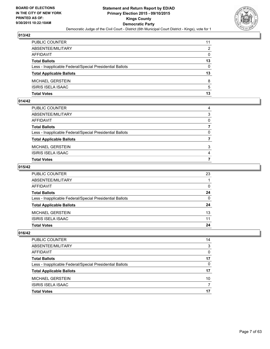

| PUBLIC COUNTER                                           | 11       |
|----------------------------------------------------------|----------|
| ABSENTEE/MILITARY                                        | 2        |
| AFFIDAVIT                                                | 0        |
| Total Ballots                                            | 13       |
| Less - Inapplicable Federal/Special Presidential Ballots | $\Omega$ |
| <b>Total Applicable Ballots</b>                          | 13       |
| MICHAEL GERSTEIN                                         | 8        |
| ISIRIS ISELA ISAAC                                       | 5        |
| Total Votes                                              | 13       |

### **014/42**

| PUBLIC COUNTER                                           | 4            |
|----------------------------------------------------------|--------------|
| ABSENTEE/MILITARY                                        | 3            |
| AFFIDAVIT                                                | $\Omega$     |
| <b>Total Ballots</b>                                     |              |
| Less - Inapplicable Federal/Special Presidential Ballots | $\mathbf{0}$ |
| <b>Total Applicable Ballots</b>                          |              |
| MICHAEL GERSTEIN                                         | 3            |
| ISIRIS ISELA ISAAC                                       | 4            |
| Total Votes                                              |              |
|                                                          |              |

#### **015/42**

| PUBLIC COUNTER                                           | 23           |
|----------------------------------------------------------|--------------|
| ABSENTEE/MILITARY                                        |              |
| AFFIDAVIT                                                | $\Omega$     |
| <b>Total Ballots</b>                                     | 24           |
| Less - Inapplicable Federal/Special Presidential Ballots | $\mathbf{0}$ |
| <b>Total Applicable Ballots</b>                          | 24           |
| MICHAEL GERSTEIN                                         | 13           |
| ISIRIS ISELA ISAAC                                       | 11           |
| Total Votes                                              | 24           |
|                                                          |              |

| PUBLIC COUNTER                                           | 14 |
|----------------------------------------------------------|----|
| ABSENTEE/MILITARY                                        | 3  |
| <b>AFFIDAVIT</b>                                         | 0  |
| <b>Total Ballots</b>                                     | 17 |
| Less - Inapplicable Federal/Special Presidential Ballots | 0  |
| <b>Total Applicable Ballots</b>                          | 17 |
| <b>MICHAEL GERSTEIN</b>                                  | 10 |
| <b>ISIRIS ISELA ISAAC</b>                                |    |
| <b>Total Votes</b>                                       | 17 |
|                                                          |    |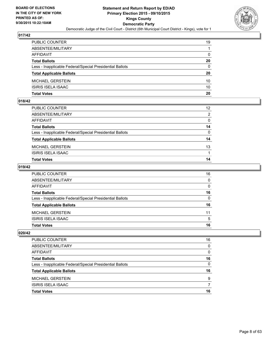

| PUBLIC COUNTER                                           | 19           |
|----------------------------------------------------------|--------------|
| ABSENTEE/MILITARY                                        | 1            |
| AFFIDAVIT                                                | $\mathbf{0}$ |
| Total Ballots                                            | 20           |
| Less - Inapplicable Federal/Special Presidential Ballots | $\mathbf{0}$ |
| <b>Total Applicable Ballots</b>                          | 20           |
| MICHAEL GERSTEIN                                         | 10           |
| ISIRIS ISELA ISAAC                                       | 10           |
| Total Votes                                              | 20           |

## **018/42**

| PUBLIC COUNTER                                           | 12 <sup>2</sup> |
|----------------------------------------------------------|-----------------|
| ABSENTEE/MILITARY                                        | 2               |
| AFFIDAVIT                                                | $\mathbf{0}$    |
| <b>Total Ballots</b>                                     | 14              |
| Less - Inapplicable Federal/Special Presidential Ballots | $\mathbf{0}$    |
| <b>Total Applicable Ballots</b>                          | 14              |
| MICHAEL GERSTEIN                                         | 13              |
| <b>ISIRIS ISELA ISAAC</b>                                |                 |
| <b>Total Votes</b>                                       | 14              |
|                                                          |                 |

#### **019/42**

| PUBLIC COUNTER                                           | 16           |
|----------------------------------------------------------|--------------|
| ABSENTEE/MILITARY                                        | $\mathbf{0}$ |
| AFFIDAVIT                                                | $\Omega$     |
| <b>Total Ballots</b>                                     | 16           |
| Less - Inapplicable Federal/Special Presidential Ballots | $\mathbf{0}$ |
| <b>Total Applicable Ballots</b>                          | 16           |
| MICHAEL GERSTEIN                                         | 11           |
| ISIRIS ISELA ISAAC                                       | 5            |
| Total Votes                                              | 16           |
|                                                          |              |

| PUBLIC COUNTER                                           | 16 |
|----------------------------------------------------------|----|
| ABSENTEE/MILITARY                                        | 0  |
| AFFIDAVIT                                                | 0  |
| <b>Total Ballots</b>                                     | 16 |
| Less - Inapplicable Federal/Special Presidential Ballots | 0  |
| <b>Total Applicable Ballots</b>                          | 16 |
| <b>MICHAEL GERSTEIN</b>                                  | 9  |
| ISIRIS ISELA ISAAC                                       |    |
| <b>Total Votes</b>                                       | 16 |
|                                                          |    |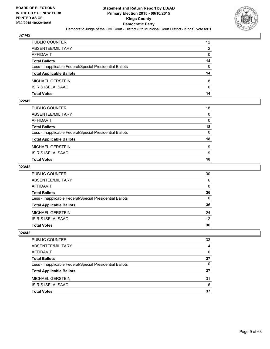

| PUBLIC COUNTER                                           | 12 <sup>2</sup> |
|----------------------------------------------------------|-----------------|
| ABSENTEE/MILITARY                                        | 2               |
| AFFIDAVIT                                                | $\mathbf{0}$    |
| Total Ballots                                            | 14              |
| Less - Inapplicable Federal/Special Presidential Ballots | $\Omega$        |
| <b>Total Applicable Ballots</b>                          | 14              |
| MICHAEL GERSTEIN                                         | 8               |
| ISIRIS ISELA ISAAC                                       | 6               |
| Total Votes                                              | 14              |

## **022/42**

| Total Votes                                              | 18           |
|----------------------------------------------------------|--------------|
| ISIRIS ISELA ISAAC                                       | 9            |
| MICHAEL GERSTEIN                                         | 9            |
| <b>Total Applicable Ballots</b>                          | 18           |
| Less - Inapplicable Federal/Special Presidential Ballots | $\mathbf{0}$ |
| Total Ballots                                            | 18           |
| AFFIDAVIT                                                | 0            |
| ABSENTEE/MILITARY                                        | $\mathbf{0}$ |
| PUBLIC COUNTER                                           | 18           |
|                                                          |              |

## **023/42**

| PUBLIC COUNTER                                           | 30              |
|----------------------------------------------------------|-----------------|
| ABSENTEE/MILITARY                                        | 6               |
| AFFIDAVIT                                                | $\mathbf{0}$    |
| Total Ballots                                            | 36              |
| Less - Inapplicable Federal/Special Presidential Ballots | $\mathbf{0}$    |
| <b>Total Applicable Ballots</b>                          | 36              |
| MICHAEL GERSTEIN                                         | 24              |
| ISIRIS ISELA ISAAC                                       | 12 <sup>2</sup> |
| Total Votes                                              | 36              |
|                                                          |                 |

| <b>PUBLIC COUNTER</b>                                    | 33 |
|----------------------------------------------------------|----|
| ABSENTEE/MILITARY                                        | 4  |
| AFFIDAVIT                                                | 0  |
| <b>Total Ballots</b>                                     | 37 |
| Less - Inapplicable Federal/Special Presidential Ballots | 0  |
| <b>Total Applicable Ballots</b>                          | 37 |
| <b>MICHAEL GERSTEIN</b>                                  | 31 |
| ISIRIS ISELA ISAAC                                       | 6  |
| <b>Total Votes</b>                                       | 37 |
|                                                          |    |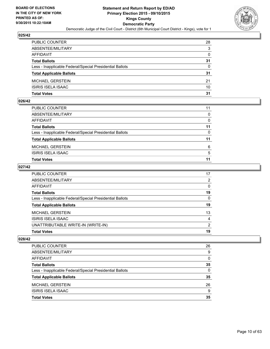

| PUBLIC COUNTER                                           | 28           |
|----------------------------------------------------------|--------------|
| ABSENTEE/MILITARY                                        | 3            |
| AFFIDAVIT                                                | $\mathbf{0}$ |
| <b>Total Ballots</b>                                     | 31           |
| Less - Inapplicable Federal/Special Presidential Ballots | $\Omega$     |
| <b>Total Applicable Ballots</b>                          | 31           |
| MICHAEL GERSTEIN                                         | 21           |
| ISIRIS ISELA ISAAC                                       | 10           |
| Total Votes                                              | 31           |

### **026/42**

| 11           |
|--------------|
| $\mathbf{0}$ |
| 0            |
| 11           |
| $\mathbf{0}$ |
| 11           |
| 6            |
| 5            |
| 11           |
|              |

## **027/42**

| Less - Inapplicable Federal/Special Presidential Ballots | $\mathbf{0}$ |
|----------------------------------------------------------|--------------|
| <b>Total Applicable Ballots</b>                          | 19           |
| <b>MICHAEL GERSTEIN</b>                                  | 13           |
| <b>ISIRIS ISELA ISAAC</b>                                | 4            |
| UNATTRIBUTABLE WRITE-IN (WRITE-IN)                       | 2            |
| <b>Total Votes</b>                                       | 19           |

| <b>PUBLIC COUNTER</b>                                    | 26       |
|----------------------------------------------------------|----------|
| ABSENTEE/MILITARY                                        | 9        |
| AFFIDAVIT                                                | $\Omega$ |
| <b>Total Ballots</b>                                     | 35       |
| Less - Inapplicable Federal/Special Presidential Ballots | 0        |
| <b>Total Applicable Ballots</b>                          | 35       |
| <b>MICHAEL GERSTEIN</b>                                  | 26       |
| <b>ISIRIS ISELA ISAAC</b>                                | 9        |
| <b>Total Votes</b>                                       | 35       |
|                                                          |          |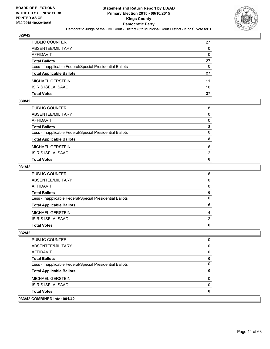

| PUBLIC COUNTER                                           | 27           |
|----------------------------------------------------------|--------------|
| ABSENTEE/MILITARY                                        | $\mathbf{0}$ |
| AFFIDAVIT                                                | $\mathbf{0}$ |
| <b>Total Ballots</b>                                     | 27           |
| Less - Inapplicable Federal/Special Presidential Ballots | $\Omega$     |
| <b>Total Applicable Ballots</b>                          | 27           |
| MICHAEL GERSTEIN                                         | 11           |
| ISIRIS ISELA ISAAC                                       | 16           |
| Total Votes                                              | 27           |

## **030/42**

| PUBLIC COUNTER                                           | 8            |
|----------------------------------------------------------|--------------|
| ABSENTEE/MILITARY                                        | $\Omega$     |
| AFFIDAVIT                                                | $\Omega$     |
| Total Ballots                                            | 8            |
| Less - Inapplicable Federal/Special Presidential Ballots | $\mathbf{0}$ |
| <b>Total Applicable Ballots</b>                          | 8            |
| MICHAEL GERSTEIN                                         | 6            |
| ISIRIS ISELA ISAAC                                       | 2            |
| Total Votes                                              | 8            |
|                                                          |              |

# **031/42**

| PUBLIC COUNTER                                           | 6            |
|----------------------------------------------------------|--------------|
| ABSENTEE/MILITARY                                        | $\Omega$     |
| AFFIDAVIT                                                | $\Omega$     |
| <b>Total Ballots</b>                                     | 6            |
| Less - Inapplicable Federal/Special Presidential Ballots | $\mathbf{0}$ |
| <b>Total Applicable Ballots</b>                          | 6            |
| MICHAEL GERSTEIN                                         | 4            |
| ISIRIS ISELA ISAAC                                       | 2            |
| Total Votes                                              | 6            |
|                                                          |              |

| PUBLIC COUNTER                                           |  |
|----------------------------------------------------------|--|
| ABSENTEE/MILITARY                                        |  |
| AFFIDAVIT                                                |  |
| <b>Total Ballots</b>                                     |  |
| Less - Inapplicable Federal/Special Presidential Ballots |  |
| <b>Total Applicable Ballots</b>                          |  |
| <b>MICHAEL GERSTEIN</b>                                  |  |
| ISIRIS ISELA ISAAC                                       |  |
| <b>Total Votes</b>                                       |  |
| 033/42 COMBINED into: 001/42                             |  |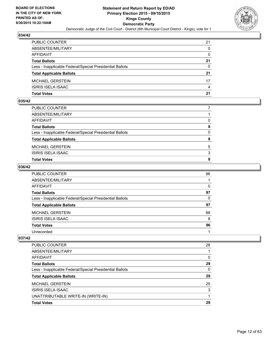

| PUBLIC COUNTER                                           | 21           |
|----------------------------------------------------------|--------------|
| ABSENTEE/MILITARY                                        | $\mathbf{0}$ |
| AFFIDAVIT                                                | $\mathbf{0}$ |
| <b>Total Ballots</b>                                     | 21           |
| Less - Inapplicable Federal/Special Presidential Ballots | $\Omega$     |
| <b>Total Applicable Ballots</b>                          | 21           |
| MICHAEL GERSTEIN                                         | 17           |
| ISIRIS ISELA ISAAC                                       | 4            |
| Total Votes                                              | 21           |

## **035/42**

| Total Votes                                              | 8            |
|----------------------------------------------------------|--------------|
| ISIRIS ISELA ISAAC                                       | 3            |
| MICHAEL GERSTEIN                                         | 5            |
| <b>Total Applicable Ballots</b>                          | 8            |
| Less - Inapplicable Federal/Special Presidential Ballots | $\mathbf{0}$ |
| Total Ballots                                            | 8            |
| AFFIDAVIT                                                | 0            |
| ABSENTEE/MILITARY                                        |              |
| PUBLIC COUNTER                                           |              |

#### **036/42**

| PUBLIC COUNTER                                           | 96       |
|----------------------------------------------------------|----------|
| ABSENTEE/MILITARY                                        |          |
| AFFIDAVIT                                                | $\Omega$ |
| <b>Total Ballots</b>                                     | 97       |
| Less - Inapplicable Federal/Special Presidential Ballots | $\Omega$ |
| <b>Total Applicable Ballots</b>                          | 97       |
| MICHAEL GERSTEIN                                         | 88       |
| <b>ISIRIS ISELA ISAAC</b>                                | 8        |
| <b>Total Votes</b>                                       | 96       |
| Unrecorded                                               |          |

| <b>PUBLIC COUNTER</b>                                    | 28 |
|----------------------------------------------------------|----|
| ABSENTEE/MILITARY                                        |    |
| AFFIDAVIT                                                | 0  |
| <b>Total Ballots</b>                                     | 29 |
| Less - Inapplicable Federal/Special Presidential Ballots | 0  |
| <b>Total Applicable Ballots</b>                          | 29 |
| MICHAEL GERSTEIN                                         | 25 |
| ISIRIS ISELA ISAAC                                       | 3  |
| UNATTRIBUTABLE WRITE-IN (WRITE-IN)                       |    |
| <b>Total Votes</b>                                       | 29 |
|                                                          |    |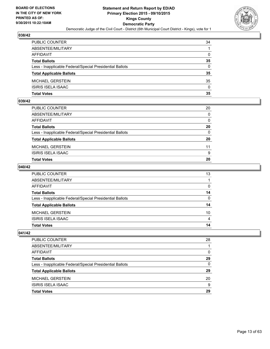

| PUBLIC COUNTER                                           | 34           |
|----------------------------------------------------------|--------------|
| ABSENTEE/MILITARY                                        |              |
| AFFIDAVIT                                                | $\mathbf{0}$ |
| Total Ballots                                            | 35           |
| Less - Inapplicable Federal/Special Presidential Ballots | $\Omega$     |
| <b>Total Applicable Ballots</b>                          | 35           |
| MICHAEL GERSTEIN                                         | 35           |
| ISIRIS ISELA ISAAC                                       | $\Omega$     |
| Total Votes                                              | 35           |

## **039/42**

| <b>Total Votes</b>                                       | 20       |
|----------------------------------------------------------|----------|
|                                                          |          |
| <b>ISIRIS ISELA ISAAC</b>                                | 9        |
| MICHAEL GERSTEIN                                         | 11       |
| <b>Total Applicable Ballots</b>                          | 20       |
| Less - Inapplicable Federal/Special Presidential Ballots | 0        |
| <b>Total Ballots</b>                                     | 20       |
| AFFIDAVIT                                                | $\Omega$ |
| ABSENTEE/MILITARY                                        | $\Omega$ |
| PUBLIC COUNTER                                           | 20       |

#### **040/42**

| PUBLIC COUNTER                                           | 13              |
|----------------------------------------------------------|-----------------|
| ABSENTEE/MILITARY                                        |                 |
| AFFIDAVIT                                                | $\Omega$        |
| <b>Total Ballots</b>                                     | 14              |
| Less - Inapplicable Federal/Special Presidential Ballots | $\mathbf{0}$    |
| <b>Total Applicable Ballots</b>                          | 14              |
| MICHAEL GERSTEIN                                         | 10 <sup>°</sup> |
| ISIRIS ISELA ISAAC                                       | 4               |
| <b>Total Votes</b>                                       | 14              |
|                                                          |                 |

| <b>PUBLIC COUNTER</b>                                    | 28 |
|----------------------------------------------------------|----|
| ABSENTEE/MILITARY                                        |    |
| AFFIDAVIT                                                | 0  |
| <b>Total Ballots</b>                                     | 29 |
| Less - Inapplicable Federal/Special Presidential Ballots | 0  |
| <b>Total Applicable Ballots</b>                          | 29 |
| <b>MICHAEL GERSTEIN</b>                                  | 20 |
| ISIRIS ISELA ISAAC                                       | 9  |
| <b>Total Votes</b>                                       | 29 |
|                                                          |    |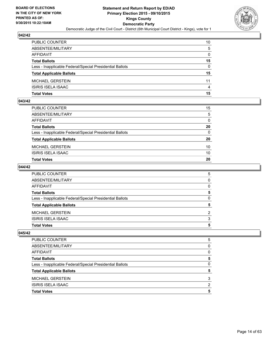

| PUBLIC COUNTER                                           | 10           |
|----------------------------------------------------------|--------------|
| ABSENTEE/MILITARY                                        | 5            |
| AFFIDAVIT                                                | $\mathbf{0}$ |
| Total Ballots                                            | 15           |
| Less - Inapplicable Federal/Special Presidential Ballots | $\Omega$     |
| <b>Total Applicable Ballots</b>                          | 15           |
| MICHAEL GERSTEIN                                         | 11           |
| ISIRIS ISELA ISAAC                                       | 4            |
| Total Votes                                              | 15           |

# **043/42**

| PUBLIC COUNTER                                           | 15              |
|----------------------------------------------------------|-----------------|
| ABSENTEE/MILITARY                                        | 5               |
| AFFIDAVIT                                                | 0               |
| Total Ballots                                            | 20              |
| Less - Inapplicable Federal/Special Presidential Ballots | $\mathbf{0}$    |
| <b>Total Applicable Ballots</b>                          | 20              |
| MICHAEL GERSTEIN                                         | 10 <sup>°</sup> |
| ISIRIS ISELA ISAAC                                       | 10              |
| Total Votes                                              | 20              |
|                                                          |                 |

#### **044/42**

| PUBLIC COUNTER                                           | 5              |
|----------------------------------------------------------|----------------|
| ABSENTEE/MILITARY                                        | $\mathbf{0}$   |
| AFFIDAVIT                                                | $\Omega$       |
| <b>Total Ballots</b>                                     | 5              |
| Less - Inapplicable Federal/Special Presidential Ballots | $\Omega$       |
| <b>Total Applicable Ballots</b>                          | 5              |
| MICHAEL GERSTEIN                                         | $\overline{2}$ |
| ISIRIS ISELA ISAAC                                       | 3              |
| <b>Total Votes</b>                                       | 5              |
|                                                          |                |

| <b>PUBLIC COUNTER</b>                                    | 5 |
|----------------------------------------------------------|---|
| ABSENTEE/MILITARY                                        | 0 |
| <b>AFFIDAVIT</b>                                         | 0 |
| <b>Total Ballots</b>                                     | 5 |
| Less - Inapplicable Federal/Special Presidential Ballots | 0 |
| <b>Total Applicable Ballots</b>                          | 5 |
| <b>MICHAEL GERSTEIN</b>                                  | 3 |
| ISIRIS ISELA ISAAC                                       | 2 |
| <b>Total Votes</b>                                       | 5 |
|                                                          |   |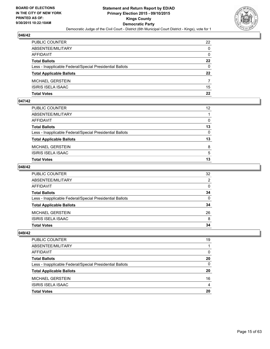

| PUBLIC COUNTER                                           | 22           |
|----------------------------------------------------------|--------------|
| ABSENTEE/MILITARY                                        | $\mathbf{0}$ |
| AFFIDAVIT                                                | $\mathbf{0}$ |
| <b>Total Ballots</b>                                     | $22 \,$      |
| Less - Inapplicable Federal/Special Presidential Ballots | $\Omega$     |
| <b>Total Applicable Ballots</b>                          | $22 \,$      |
| MICHAEL GERSTEIN                                         |              |
| ISIRIS ISELA ISAAC                                       | 15           |
| Total Votes                                              | 22           |

## **047/42**

| <b>Total Votes</b>                                       | 13              |
|----------------------------------------------------------|-----------------|
| <b>ISIRIS ISELA ISAAC</b>                                | 5               |
| MICHAEL GERSTEIN                                         | 8               |
| <b>Total Applicable Ballots</b>                          | 13              |
| Less - Inapplicable Federal/Special Presidential Ballots | $\Omega$        |
| <b>Total Ballots</b>                                     | 13              |
| AFFIDAVIT                                                | 0               |
| ABSENTEE/MILITARY                                        |                 |
| PUBLIC COUNTER                                           | 12 <sup>°</sup> |

#### **048/42**

| PUBLIC COUNTER                                           | 32           |
|----------------------------------------------------------|--------------|
| ABSENTEE/MILITARY                                        | 2            |
| AFFIDAVIT                                                | $\mathbf{0}$ |
| <b>Total Ballots</b>                                     | 34           |
| Less - Inapplicable Federal/Special Presidential Ballots | $\mathbf{0}$ |
| <b>Total Applicable Ballots</b>                          | 34           |
| MICHAEL GERSTEIN                                         | 26           |
| ISIRIS ISELA ISAAC                                       | 8            |
| <b>Total Votes</b>                                       | 34           |
|                                                          |              |

| PUBLIC COUNTER                                           | 19 |
|----------------------------------------------------------|----|
| ABSENTEE/MILITARY                                        |    |
| AFFIDAVIT                                                | 0  |
| <b>Total Ballots</b>                                     | 20 |
| Less - Inapplicable Federal/Special Presidential Ballots | 0  |
| <b>Total Applicable Ballots</b>                          | 20 |
| <b>MICHAEL GERSTEIN</b>                                  | 16 |
| ISIRIS ISELA ISAAC                                       | 4  |
| <b>Total Votes</b>                                       | 20 |
|                                                          |    |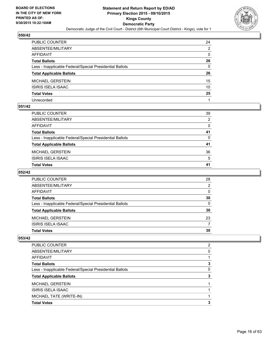

| PUBLIC COUNTER                                           | 24 |
|----------------------------------------------------------|----|
| ABSENTEE/MILITARY                                        | 2  |
| AFFIDAVIT                                                | 0  |
| Total Ballots                                            | 26 |
| Less - Inapplicable Federal/Special Presidential Ballots | 0  |
| <b>Total Applicable Ballots</b>                          | 26 |
| MICHAEL GERSTEIN                                         | 15 |
| ISIRIS ISELA ISAAC                                       | 10 |
| <b>Total Votes</b>                                       | 25 |
| Unrecorded                                               |    |

## **051/42**

| PUBLIC COUNTER                                           | 39 |
|----------------------------------------------------------|----|
| ABSENTEE/MILITARY                                        | 2  |
| AFFIDAVIT                                                | 0  |
| Total Ballots                                            | 41 |
| Less - Inapplicable Federal/Special Presidential Ballots | 0  |
| <b>Total Applicable Ballots</b>                          | 41 |
| MICHAEL GERSTEIN                                         | 36 |
| ISIRIS ISELA ISAAC                                       | 5  |
| <b>Total Votes</b>                                       | 41 |
|                                                          |    |

## **052/42**

| <b>Total Votes</b>                                       | 30 |
|----------------------------------------------------------|----|
| <b>ISIRIS ISELA ISAAC</b>                                |    |
| MICHAEL GERSTEIN                                         | 23 |
| <b>Total Applicable Ballots</b>                          | 30 |
| Less - Inapplicable Federal/Special Presidential Ballots | 0  |
| <b>Total Ballots</b>                                     | 30 |
| AFFIDAVIT                                                | 0  |
| ABSENTEE/MILITARY                                        | 2  |
| <b>PUBLIC COUNTER</b>                                    | 28 |

| <b>PUBLIC COUNTER</b>                                    | 2 |
|----------------------------------------------------------|---|
| ABSENTEE/MILITARY                                        | 0 |
| AFFIDAVIT                                                |   |
| <b>Total Ballots</b>                                     | з |
| Less - Inapplicable Federal/Special Presidential Ballots | 0 |
| <b>Total Applicable Ballots</b>                          | 3 |
| MICHAEL GERSTEIN                                         |   |
| <b>ISIRIS ISELA ISAAC</b>                                |   |
| MICHAEL TATE (WRITE-IN)                                  |   |
| <b>Total Votes</b>                                       | 3 |
|                                                          |   |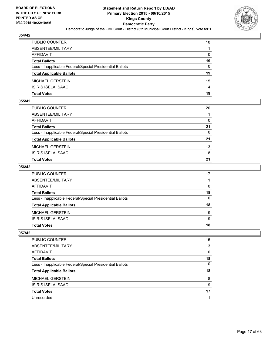

| PUBLIC COUNTER                                           | 18           |
|----------------------------------------------------------|--------------|
| ABSENTEE/MILITARY                                        |              |
| AFFIDAVIT                                                | $\mathbf{0}$ |
| Total Ballots                                            | 19           |
| Less - Inapplicable Federal/Special Presidential Ballots | $\Omega$     |
| <b>Total Applicable Ballots</b>                          | 19           |
| MICHAEL GERSTEIN                                         | 15           |
| ISIRIS ISELA ISAAC                                       | 4            |
| Total Votes                                              | 19           |

## **055/42**

| Total Votes                                              | 21           |
|----------------------------------------------------------|--------------|
| ISIRIS ISELA ISAAC                                       | 8            |
| MICHAEL GERSTEIN                                         | 13           |
| <b>Total Applicable Ballots</b>                          | 21           |
| Less - Inapplicable Federal/Special Presidential Ballots | $\mathbf{0}$ |
| Total Ballots                                            | 21           |
| AFFIDAVIT                                                | $\Omega$     |
| ABSENTEE/MILITARY                                        |              |
| PUBLIC COUNTER                                           | 20           |
|                                                          |              |

#### **056/42**

| PUBLIC COUNTER                                           | 17           |
|----------------------------------------------------------|--------------|
| ABSENTEE/MILITARY                                        |              |
| AFFIDAVIT                                                | $\Omega$     |
| <b>Total Ballots</b>                                     | 18           |
| Less - Inapplicable Federal/Special Presidential Ballots | $\mathbf{0}$ |
| <b>Total Applicable Ballots</b>                          | 18           |
| MICHAEL GERSTEIN                                         | 9            |
| ISIRIS ISELA ISAAC                                       | 9            |
| Total Votes                                              | 18           |
|                                                          |              |

| PUBLIC COUNTER                                           | 15 |
|----------------------------------------------------------|----|
| ABSENTEE/MILITARY                                        | 3  |
| AFFIDAVIT                                                | 0  |
| <b>Total Ballots</b>                                     | 18 |
| Less - Inapplicable Federal/Special Presidential Ballots | 0  |
| <b>Total Applicable Ballots</b>                          | 18 |
|                                                          |    |
| <b>MICHAEL GERSTEIN</b>                                  | 8  |
| <b>ISIRIS ISELA ISAAC</b>                                | 9  |
| <b>Total Votes</b>                                       | 17 |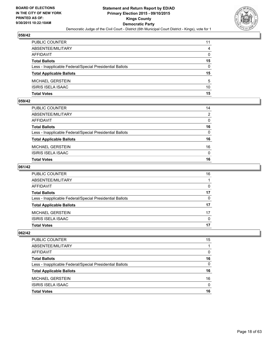

| PUBLIC COUNTER                                           | 11           |
|----------------------------------------------------------|--------------|
| ABSENTEE/MILITARY                                        | 4            |
| AFFIDAVIT                                                | $\mathbf{0}$ |
| Total Ballots                                            | 15           |
| Less - Inapplicable Federal/Special Presidential Ballots | $\Omega$     |
| <b>Total Applicable Ballots</b>                          | 15           |
| MICHAEL GERSTEIN                                         | 5            |
| ISIRIS ISELA ISAAC                                       | 10           |
| Total Votes                                              | 15           |

## **059/42**

| Total Votes                                              | 16           |
|----------------------------------------------------------|--------------|
| ISIRIS ISELA ISAAC                                       | $\mathbf{0}$ |
| MICHAEL GERSTEIN                                         | 16           |
| <b>Total Applicable Ballots</b>                          | 16           |
| Less - Inapplicable Federal/Special Presidential Ballots | $\mathbf{0}$ |
| Total Ballots                                            | 16           |
| AFFIDAVIT                                                | 0            |
| ABSENTEE/MILITARY                                        | 2            |
| PUBLIC COUNTER                                           | 14           |
|                                                          |              |

## **061/42**

| PUBLIC COUNTER                                           | 16           |
|----------------------------------------------------------|--------------|
| ABSENTEE/MILITARY                                        |              |
| AFFIDAVIT                                                | 0            |
| <b>Total Ballots</b>                                     | 17           |
| Less - Inapplicable Federal/Special Presidential Ballots | $\mathbf{0}$ |
| <b>Total Applicable Ballots</b>                          | 17           |
| MICHAEL GERSTEIN                                         | 17           |
| ISIRIS ISELA ISAAC                                       | $\mathbf{0}$ |
| Total Votes                                              | 17           |
|                                                          |              |

| PUBLIC COUNTER                                           | 15       |
|----------------------------------------------------------|----------|
| ABSENTEE/MILITARY                                        |          |
| AFFIDAVIT                                                | 0        |
| <b>Total Ballots</b>                                     | 16       |
| Less - Inapplicable Federal/Special Presidential Ballots | 0        |
| <b>Total Applicable Ballots</b>                          | 16       |
| <b>MICHAEL GERSTEIN</b>                                  | 16       |
| ISIRIS ISELA ISAAC                                       | $\Omega$ |
| <b>Total Votes</b>                                       | 16       |
|                                                          |          |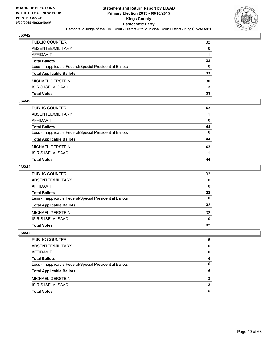

| PUBLIC COUNTER                                           | 32           |
|----------------------------------------------------------|--------------|
| ABSENTEE/MILITARY                                        | $\mathbf{0}$ |
| AFFIDAVIT                                                |              |
| <b>Total Ballots</b>                                     | 33           |
| Less - Inapplicable Federal/Special Presidential Ballots | $\Omega$     |
| <b>Total Applicable Ballots</b>                          | 33           |
| MICHAEL GERSTEIN                                         | 30           |
| ISIRIS ISELA ISAAC                                       | 3            |
| Total Votes                                              | 33           |

## **064/42**

| Total Votes                                              | 44           |
|----------------------------------------------------------|--------------|
| ISIRIS ISELA ISAAC                                       |              |
| MICHAEL GERSTEIN                                         | 43           |
| <b>Total Applicable Ballots</b>                          | 44           |
| Less - Inapplicable Federal/Special Presidential Ballots | $\mathbf{0}$ |
| Total Ballots                                            | 44           |
| AFFIDAVIT                                                | $\mathbf{0}$ |
| ABSENTEE/MILITARY                                        |              |
| PUBLIC COUNTER                                           | 43           |

#### **065/42**

| PUBLIC COUNTER                                           | 32              |
|----------------------------------------------------------|-----------------|
| ABSENTEE/MILITARY                                        | $\mathbf{0}$    |
| AFFIDAVIT                                                | 0               |
| <b>Total Ballots</b>                                     | $32\phantom{a}$ |
| Less - Inapplicable Federal/Special Presidential Ballots | $\mathbf{0}$    |
| <b>Total Applicable Ballots</b>                          | 32              |
| MICHAEL GERSTEIN                                         | 32              |
| ISIRIS ISELA ISAAC                                       | $\Omega$        |
| <b>Total Votes</b>                                       | 32              |
|                                                          |                 |

| PUBLIC COUNTER                                           | 6 |
|----------------------------------------------------------|---|
| ABSENTEE/MILITARY                                        | 0 |
| AFFIDAVIT                                                | 0 |
| <b>Total Ballots</b>                                     | 6 |
| Less - Inapplicable Federal/Special Presidential Ballots | 0 |
| <b>Total Applicable Ballots</b>                          | 6 |
| <b>MICHAEL GERSTEIN</b>                                  | 3 |
| ISIRIS ISELA ISAAC                                       | 3 |
| <b>Total Votes</b>                                       | 6 |
|                                                          |   |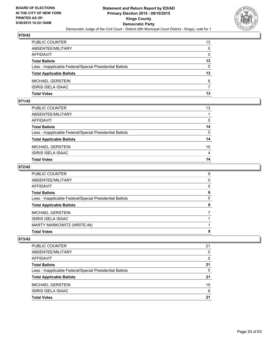

| PUBLIC COUNTER                                           | 13           |
|----------------------------------------------------------|--------------|
| ABSENTEE/MILITARY                                        | $\mathbf{0}$ |
| AFFIDAVIT                                                | $\mathbf{0}$ |
| Total Ballots                                            | 13           |
| Less - Inapplicable Federal/Special Presidential Ballots | $\Omega$     |
| <b>Total Applicable Ballots</b>                          | 13           |
| MICHAEL GERSTEIN                                         | 6            |
| ISIRIS ISELA ISAAC                                       | 7            |
| Total Votes                                              | 13           |

# **071/42**

| Total Votes                                              | 14              |
|----------------------------------------------------------|-----------------|
| ISIRIS ISELA ISAAC                                       | 4               |
| MICHAEL GERSTEIN                                         | 10 <sup>°</sup> |
| <b>Total Applicable Ballots</b>                          | 14              |
| Less - Inapplicable Federal/Special Presidential Ballots | $\mathbf{0}$    |
| Total Ballots                                            | 14              |
| AFFIDAVIT                                                | 0               |
| ABSENTEE/MILITARY                                        |                 |
| PUBLIC COUNTER                                           | 13              |
|                                                          |                 |

## **072/42**

| PUBLIC COUNTER                                           | 9            |
|----------------------------------------------------------|--------------|
| ABSENTEE/MILITARY                                        | $\mathbf{0}$ |
| AFFIDAVIT                                                | $\Omega$     |
| <b>Total Ballots</b>                                     | 9            |
| Less - Inapplicable Federal/Special Presidential Ballots | $\mathbf{0}$ |
| <b>Total Applicable Ballots</b>                          | 9            |
| MICHAEL GERSTEIN                                         |              |
| ISIRIS ISELA ISAAC                                       |              |
| MARTY MARKOWITZ (WRITE-IN)                               |              |
| <b>Total Votes</b>                                       | 9            |

| <b>PUBLIC COUNTER</b>                                    | 21 |
|----------------------------------------------------------|----|
| ABSENTEE/MILITARY                                        | 0  |
| AFFIDAVIT                                                | 0  |
| <b>Total Ballots</b>                                     | 21 |
| Less - Inapplicable Federal/Special Presidential Ballots | 0  |
| <b>Total Applicable Ballots</b>                          | 21 |
| <b>MICHAEL GERSTEIN</b>                                  | 15 |
| <b>ISIRIS ISELA ISAAC</b>                                | 6  |
| <b>Total Votes</b>                                       | 21 |
|                                                          |    |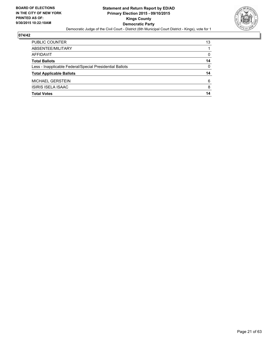

| PUBLIC COUNTER                                           | 13       |
|----------------------------------------------------------|----------|
| ABSENTEE/MILITARY                                        |          |
| <b>AFFIDAVIT</b>                                         | 0        |
| <b>Total Ballots</b>                                     | 14       |
| Less - Inapplicable Federal/Special Presidential Ballots | $\Omega$ |
| <b>Total Applicable Ballots</b>                          | 14       |
| <b>MICHAEL GERSTEIN</b>                                  | 6        |
| ISIRIS ISELA ISAAC                                       | 8        |
| <b>Total Votes</b>                                       | 14       |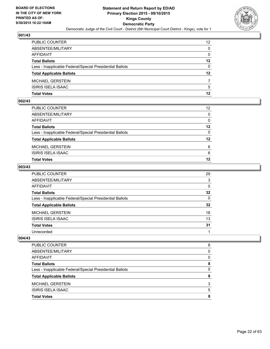

| PUBLIC COUNTER                                           | 12 <sup>2</sup> |
|----------------------------------------------------------|-----------------|
| ABSENTEE/MILITARY                                        | $\mathbf{0}$    |
| AFFIDAVIT                                                | $\mathbf{0}$    |
| Total Ballots                                            | 12              |
| Less - Inapplicable Federal/Special Presidential Ballots | $\Omega$        |
| <b>Total Applicable Ballots</b>                          | $12 \,$         |
| MICHAEL GERSTEIN                                         | 7               |
| ISIRIS ISELA ISAAC                                       | 5               |
| Total Votes                                              | 12              |

## **002/43**

| PUBLIC COUNTER                                           | $12 \overline{ }$ |
|----------------------------------------------------------|-------------------|
| ABSENTEE/MILITARY                                        | $\Omega$          |
| <b>AFFIDAVIT</b>                                         | $\Omega$          |
| <b>Total Ballots</b>                                     | $12 \,$           |
| Less - Inapplicable Federal/Special Presidential Ballots | $\Omega$          |
| <b>Total Applicable Ballots</b>                          | $12 \,$           |
| <b>MICHAEL GERSTEIN</b>                                  | 6                 |
| ISIRIS ISELA ISAAC                                       | 6                 |
| <b>Total Votes</b>                                       | 12                |

## **003/43**

| PUBLIC COUNTER                                           | 29              |
|----------------------------------------------------------|-----------------|
| ABSENTEE/MILITARY                                        | 3               |
| AFFIDAVIT                                                | $\mathbf{0}$    |
| <b>Total Ballots</b>                                     | $32\phantom{a}$ |
| Less - Inapplicable Federal/Special Presidential Ballots | 0               |
| <b>Total Applicable Ballots</b>                          | 32              |
| MICHAEL GERSTEIN                                         | 18              |
| <b>ISIRIS ISELA ISAAC</b>                                | 13              |
| <b>Total Votes</b>                                       | 31              |
| Unrecorded                                               |                 |

|                                                          | 5 |
|----------------------------------------------------------|---|
| <b>ISIRIS ISELA ISAAC</b>                                |   |
| <b>MICHAEL GERSTEIN</b>                                  | 3 |
| <b>Total Applicable Ballots</b>                          | 8 |
| Less - Inapplicable Federal/Special Presidential Ballots | 0 |
| <b>Total Ballots</b>                                     | 8 |
| AFFIDAVIT                                                | 0 |
| ABSENTEE/MILITARY                                        | 0 |
| <b>PUBLIC COUNTER</b>                                    | 8 |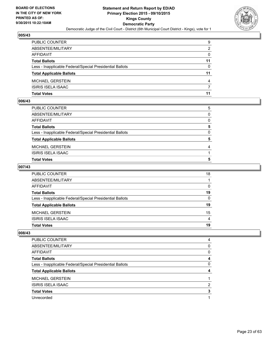

| PUBLIC COUNTER                                           | 9        |
|----------------------------------------------------------|----------|
| ABSENTEE/MILITARY                                        | 2        |
| AFFIDAVIT                                                | $\Omega$ |
| <b>Total Ballots</b>                                     | 11       |
| Less - Inapplicable Federal/Special Presidential Ballots | $\Omega$ |
| <b>Total Applicable Ballots</b>                          | 11       |
| MICHAEL GERSTEIN                                         | 4        |
| ISIRIS ISELA ISAAC                                       | 7        |
| Total Votes                                              | 11       |

## **006/43**

| PUBLIC COUNTER                                           | 5            |
|----------------------------------------------------------|--------------|
| ABSENTEE/MILITARY                                        | $\mathbf{0}$ |
| AFFIDAVIT                                                | $\Omega$     |
| <b>Total Ballots</b>                                     | 5            |
| Less - Inapplicable Federal/Special Presidential Ballots | $\mathbf{0}$ |
| <b>Total Applicable Ballots</b>                          | 5            |
| MICHAEL GERSTEIN                                         | 4            |
| ISIRIS ISELA ISAAC                                       |              |
| Total Votes                                              | 5            |
|                                                          |              |

## **007/43**

| PUBLIC COUNTER                                           | 18           |
|----------------------------------------------------------|--------------|
| ABSENTEE/MILITARY                                        |              |
| AFFIDAVIT                                                | $\Omega$     |
| <b>Total Ballots</b>                                     | 19           |
| Less - Inapplicable Federal/Special Presidential Ballots | $\mathbf{0}$ |
| <b>Total Applicable Ballots</b>                          | 19           |
| MICHAEL GERSTEIN                                         | 15           |
| ISIRIS ISELA ISAAC                                       | 4            |
| <b>Total Votes</b>                                       | 19           |
|                                                          |              |

| PUBLIC COUNTER                                           | 4 |
|----------------------------------------------------------|---|
| ABSENTEE/MILITARY                                        | 0 |
| <b>AFFIDAVIT</b>                                         | 0 |
| <b>Total Ballots</b>                                     | 4 |
| Less - Inapplicable Federal/Special Presidential Ballots | 0 |
| <b>Total Applicable Ballots</b>                          |   |
| <b>MICHAEL GERSTEIN</b>                                  |   |
|                                                          |   |
| <b>ISIRIS ISELA ISAAC</b>                                | 2 |
| <b>Total Votes</b>                                       | 3 |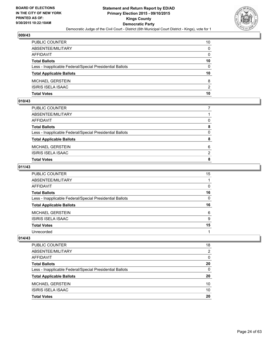

| PUBLIC COUNTER                                           | 10           |
|----------------------------------------------------------|--------------|
| ABSENTEE/MILITARY                                        | $\mathbf{0}$ |
| AFFIDAVIT                                                | $\mathbf{0}$ |
| <b>Total Ballots</b>                                     | 10           |
| Less - Inapplicable Federal/Special Presidential Ballots | $\Omega$     |
| <b>Total Applicable Ballots</b>                          | 10           |
| MICHAEL GERSTEIN                                         | 8            |
| ISIRIS ISELA ISAAC                                       | 2            |
| Total Votes                                              | 10           |

## **010/43**

| MICHAEL GERSTEIN                                         | 6        |
|----------------------------------------------------------|----------|
| <b>Total Applicable Ballots</b>                          | 8        |
| Less - Inapplicable Federal/Special Presidential Ballots | $\Omega$ |
| <b>Total Ballots</b>                                     | 8        |
| AFFIDAVIT                                                | 0        |
| ABSENTEE/MILITARY                                        |          |
| PUBLIC COUNTER                                           |          |

## **011/43**

| PUBLIC COUNTER                                           | 15       |
|----------------------------------------------------------|----------|
| ABSENTEE/MILITARY                                        |          |
| <b>AFFIDAVIT</b>                                         | $\Omega$ |
| <b>Total Ballots</b>                                     | 16       |
| Less - Inapplicable Federal/Special Presidential Ballots | $\Omega$ |
| <b>Total Applicable Ballots</b>                          | 16       |
| <b>MICHAEL GERSTEIN</b>                                  | 6        |
| <b>ISIRIS ISELA ISAAC</b>                                | 9        |
| <b>Total Votes</b>                                       | 15       |
| Unrecorded                                               |          |

| <b>PUBLIC COUNTER</b>                                    | 18 |
|----------------------------------------------------------|----|
| ABSENTEE/MILITARY                                        | 2  |
| AFFIDAVIT                                                | 0  |
| <b>Total Ballots</b>                                     | 20 |
| Less - Inapplicable Federal/Special Presidential Ballots | 0  |
| <b>Total Applicable Ballots</b>                          | 20 |
| <b>MICHAEL GERSTEIN</b>                                  | 10 |
| ISIRIS ISELA ISAAC                                       | 10 |
| <b>Total Votes</b>                                       | 20 |
|                                                          |    |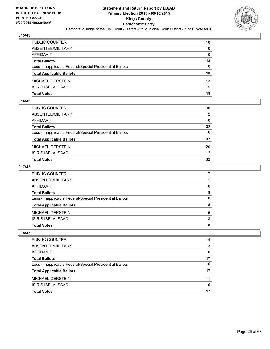

| PUBLIC COUNTER                                           | 18           |
|----------------------------------------------------------|--------------|
| ABSENTEE/MILITARY                                        | $\mathbf{0}$ |
| AFFIDAVIT                                                | $\mathbf{0}$ |
| <b>Total Ballots</b>                                     | 18           |
| Less - Inapplicable Federal/Special Presidential Ballots | $\Omega$     |
| <b>Total Applicable Ballots</b>                          | 18           |
| MICHAEL GERSTEIN                                         | 13           |
| ISIRIS ISELA ISAAC                                       | 5            |
| Total Votes                                              | 18           |

### **016/43**

| PUBLIC COUNTER                                           | 30           |
|----------------------------------------------------------|--------------|
| ABSENTEE/MILITARY                                        | 2            |
| AFFIDAVIT                                                | $\mathbf{0}$ |
| <b>Total Ballots</b>                                     | 32           |
| Less - Inapplicable Federal/Special Presidential Ballots | $\mathbf{0}$ |
| <b>Total Applicable Ballots</b>                          | 32           |
| MICHAEL GERSTEIN                                         | 20           |
| ISIRIS ISELA ISAAC                                       | 12           |
| Total Votes                                              | 32           |
|                                                          |              |

## **017/43**

| PUBLIC COUNTER                                           |          |
|----------------------------------------------------------|----------|
| ABSENTEE/MILITARY                                        |          |
| AFFIDAVIT                                                | $\Omega$ |
| <b>Total Ballots</b>                                     | 8        |
| Less - Inapplicable Federal/Special Presidential Ballots | 0        |
| <b>Total Applicable Ballots</b>                          | 8        |
| MICHAEL GERSTEIN                                         | 5        |
| ISIRIS ISELA ISAAC                                       | 3        |
| Total Votes                                              | 8        |
|                                                          |          |

| 14 |
|----|
| 3  |
| 0  |
| 17 |
| 0  |
| 17 |
| 11 |
| 6  |
| 17 |
|    |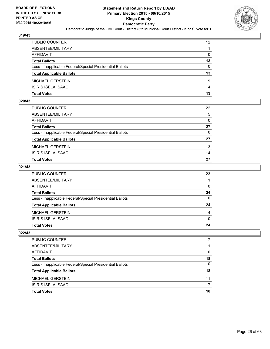

| PUBLIC COUNTER                                           | 12             |
|----------------------------------------------------------|----------------|
| ABSENTEE/MILITARY                                        |                |
| AFFIDAVIT                                                | 0              |
| Total Ballots                                            | 13             |
| Less - Inapplicable Federal/Special Presidential Ballots | $\Omega$       |
| <b>Total Applicable Ballots</b>                          | 13             |
| MICHAEL GERSTEIN                                         | 9              |
| ISIRIS ISELA ISAAC                                       | $\overline{4}$ |
| Total Votes                                              | 13             |

## **020/43**

| <b>Total Votes</b>                                       | 27       |
|----------------------------------------------------------|----------|
| <b>ISIRIS ISELA ISAAC</b>                                | 14       |
| MICHAEL GERSTEIN                                         | 13       |
| <b>Total Applicable Ballots</b>                          | 27       |
| Less - Inapplicable Federal/Special Presidential Ballots | $\Omega$ |
| <b>Total Ballots</b>                                     | 27       |
| AFFIDAVIT                                                | $\Omega$ |
| ABSENTEE/MILITARY                                        | 5        |
| PUBLIC COUNTER                                           | 22       |

## **021/43**

| PUBLIC COUNTER                                           | 23           |
|----------------------------------------------------------|--------------|
| ABSENTEE/MILITARY                                        |              |
| AFFIDAVIT                                                | $\mathbf{0}$ |
| Total Ballots                                            | 24           |
| Less - Inapplicable Federal/Special Presidential Ballots | $\Omega$     |
| <b>Total Applicable Ballots</b>                          | 24           |
| MICHAEL GERSTEIN                                         | 14           |
| ISIRIS ISELA ISAAC                                       | 10           |
| Total Votes                                              | 24           |
|                                                          |              |

| <b>PUBLIC COUNTER</b>                                    | 17 |
|----------------------------------------------------------|----|
| ABSENTEE/MILITARY                                        |    |
| AFFIDAVIT                                                | 0  |
| <b>Total Ballots</b>                                     | 18 |
| Less - Inapplicable Federal/Special Presidential Ballots | 0  |
| <b>Total Applicable Ballots</b>                          | 18 |
| <b>MICHAEL GERSTEIN</b>                                  | 11 |
| ISIRIS ISELA ISAAC                                       |    |
| <b>Total Votes</b>                                       | 18 |
|                                                          |    |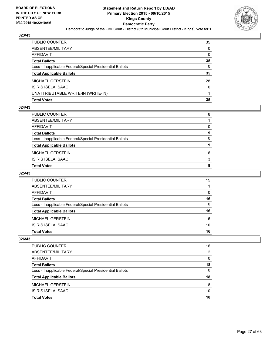

| PUBLIC COUNTER                                           | 35 |
|----------------------------------------------------------|----|
| ABSENTEE/MILITARY                                        | 0  |
| AFFIDAVIT                                                | 0  |
| Total Ballots                                            | 35 |
| Less - Inapplicable Federal/Special Presidential Ballots | 0  |
| <b>Total Applicable Ballots</b>                          | 35 |
| MICHAEL GERSTEIN                                         | 28 |
| ISIRIS ISELA ISAAC                                       | 6  |
| UNATTRIBUTABLE WRITE-IN (WRITE-IN)                       |    |
| Total Votes                                              | 35 |

#### **024/43**

| PUBLIC COUNTER                                           | 8        |
|----------------------------------------------------------|----------|
| ABSENTEE/MILITARY                                        |          |
| AFFIDAVIT                                                | 0        |
| Total Ballots                                            | 9        |
| Less - Inapplicable Federal/Special Presidential Ballots | $\Omega$ |
| <b>Total Applicable Ballots</b>                          | 9        |
| MICHAEL GERSTEIN                                         | 6        |
| ISIRIS ISELA ISAAC                                       | 3        |
| Total Votes                                              | 9        |
|                                                          |          |

# **025/43**

| PUBLIC COUNTER                                           | 15 |
|----------------------------------------------------------|----|
| ABSENTEE/MILITARY                                        |    |
| AFFIDAVIT                                                | 0  |
| <b>Total Ballots</b>                                     | 16 |
| Less - Inapplicable Federal/Special Presidential Ballots | 0  |
| <b>Total Applicable Ballots</b>                          | 16 |
| <b>MICHAEL GERSTEIN</b>                                  | 6  |
| <b>ISIRIS ISELA ISAAC</b>                                | 10 |
| <b>Total Votes</b>                                       | 16 |

| <b>PUBLIC COUNTER</b>                                    | 16           |
|----------------------------------------------------------|--------------|
| ABSENTEE/MILITARY                                        | 2            |
| AFFIDAVIT                                                | 0            |
| <b>Total Ballots</b>                                     | 18           |
| Less - Inapplicable Federal/Special Presidential Ballots | $\mathbf{0}$ |
| <b>Total Applicable Ballots</b>                          | 18           |
| <b>MICHAEL GERSTEIN</b>                                  | 8            |
| ISIRIS ISELA ISAAC                                       | 10           |
| <b>Total Votes</b>                                       | 18           |
|                                                          |              |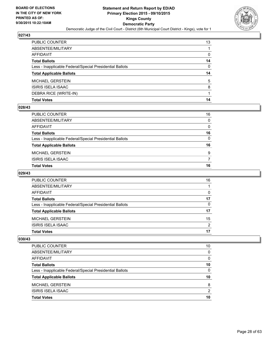

| PUBLIC COUNTER                                           | 13 |
|----------------------------------------------------------|----|
| ABSENTEE/MILITARY                                        |    |
| AFFIDAVIT                                                | 0  |
| Total Ballots                                            | 14 |
| Less - Inapplicable Federal/Special Presidential Ballots | 0  |
| <b>Total Applicable Ballots</b>                          | 14 |
| MICHAEL GERSTEIN                                         | 5  |
| ISIRIS ISELA ISAAC                                       | 8  |
| DEBRA RICE (WRITE-IN)                                    |    |
| Total Votes                                              | 14 |

#### **028/43**

| PUBLIC COUNTER                                           | 16           |
|----------------------------------------------------------|--------------|
| ABSENTEE/MILITARY                                        | 0            |
| AFFIDAVIT                                                | 0            |
| Total Ballots                                            | 16           |
| Less - Inapplicable Federal/Special Presidential Ballots | $\mathbf{0}$ |
| <b>Total Applicable Ballots</b>                          | 16           |
| MICHAEL GERSTEIN                                         | 9            |
| ISIRIS ISELA ISAAC                                       | 7            |
| <b>Total Votes</b>                                       | 16           |
|                                                          |              |

# **029/43**

| PUBLIC COUNTER                                           | 16       |
|----------------------------------------------------------|----------|
| ABSENTEE/MILITARY                                        |          |
| <b>AFFIDAVIT</b>                                         | 0        |
| <b>Total Ballots</b>                                     | 17       |
| Less - Inapplicable Federal/Special Presidential Ballots | $\Omega$ |
| <b>Total Applicable Ballots</b>                          | 17       |
| <b>MICHAEL GERSTEIN</b>                                  | 15       |
| <b>ISIRIS ISELA ISAAC</b>                                | 2        |
| <b>Total Votes</b>                                       | 17       |

| PUBLIC COUNTER                                           | 10 |
|----------------------------------------------------------|----|
| ABSENTEE/MILITARY                                        | 0  |
| AFFIDAVIT                                                | 0  |
| <b>Total Ballots</b>                                     | 10 |
| Less - Inapplicable Federal/Special Presidential Ballots | 0  |
| <b>Total Applicable Ballots</b>                          | 10 |
| <b>MICHAEL GERSTEIN</b>                                  | 8  |
| <b>ISIRIS ISELA ISAAC</b>                                | 2  |
| <b>Total Votes</b>                                       | 10 |
|                                                          |    |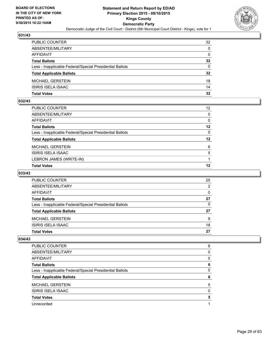

| PUBLIC COUNTER                                           | 32              |
|----------------------------------------------------------|-----------------|
| ABSENTEE/MILITARY                                        | $\Omega$        |
| AFFIDAVIT                                                | $\mathbf{0}$    |
| Total Ballots                                            | 32              |
| Less - Inapplicable Federal/Special Presidential Ballots | $\Omega$        |
| <b>Total Applicable Ballots</b>                          | $32\phantom{a}$ |
| MICHAEL GERSTEIN                                         | 18              |
| ISIRIS ISELA ISAAC                                       | 14              |
| Total Votes                                              | 32              |

# **032/43**

| PUBLIC COUNTER                                           | 12 <sup>2</sup> |
|----------------------------------------------------------|-----------------|
| ABSENTEE/MILITARY                                        | $\mathbf{0}$    |
| AFFIDAVIT                                                | 0               |
| Total Ballots                                            | 12              |
| Less - Inapplicable Federal/Special Presidential Ballots | $\mathbf{0}$    |
| <b>Total Applicable Ballots</b>                          | 12              |
| MICHAEL GERSTEIN                                         | 6               |
| ISIRIS ISELA ISAAC                                       | 5               |
| LEBRON JAMES (WRITE-IN)                                  |                 |
| <b>Total Votes</b>                                       | 12              |
|                                                          |                 |

# **033/43**

| PUBLIC COUNTER                                           | 25 |
|----------------------------------------------------------|----|
| ABSENTEE/MILITARY                                        | 2  |
| AFFIDAVIT                                                | 0  |
| <b>Total Ballots</b>                                     | 27 |
| Less - Inapplicable Federal/Special Presidential Ballots | 0  |
| <b>Total Applicable Ballots</b>                          | 27 |
| <b>MICHAEL GERSTEIN</b>                                  | 9  |
| <b>ISIRIS ISELA ISAAC</b>                                | 18 |
| <b>Total Votes</b>                                       | 27 |

| PUBLIC COUNTER                                           | 6        |
|----------------------------------------------------------|----------|
| ABSENTEE/MILITARY                                        | 0        |
| AFFIDAVIT                                                | 0        |
| <b>Total Ballots</b>                                     | 6        |
| Less - Inapplicable Federal/Special Presidential Ballots | 0        |
| <b>Total Applicable Ballots</b>                          | 6        |
| <b>MICHAEL GERSTEIN</b>                                  | 5        |
| <b>ISIRIS ISELA ISAAC</b>                                | $\Omega$ |
| <b>Total Votes</b>                                       | 5        |
| Unrecorded                                               |          |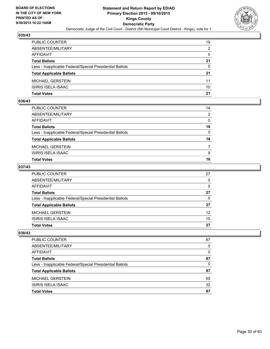

| PUBLIC COUNTER                                           | 19           |
|----------------------------------------------------------|--------------|
| ABSENTEE/MILITARY                                        | 2            |
| AFFIDAVIT                                                | $\mathbf{0}$ |
| Total Ballots                                            | 21           |
| Less - Inapplicable Federal/Special Presidential Ballots | $\Omega$     |
| <b>Total Applicable Ballots</b>                          | 21           |
| MICHAEL GERSTEIN                                         | 11           |
| ISIRIS ISELA ISAAC                                       | 10           |
| Total Votes                                              | 21           |

## **036/43**

| <b>Total Votes</b>                                       | 16           |
|----------------------------------------------------------|--------------|
| <b>ISIRIS ISELA ISAAC</b>                                | 9            |
| MICHAEL GERSTEIN                                         | 7            |
| <b>Total Applicable Ballots</b>                          | 16           |
| Less - Inapplicable Federal/Special Presidential Ballots | $\mathbf{0}$ |
| <b>Total Ballots</b>                                     | 16           |
| AFFIDAVIT                                                | $\Omega$     |
| ABSENTEE/MILITARY                                        | 2            |
| PUBLIC COUNTER                                           | 14           |

## **037/43**

| PUBLIC COUNTER                                           | 27              |
|----------------------------------------------------------|-----------------|
| ABSENTEE/MILITARY                                        | $\Omega$        |
| AFFIDAVIT                                                | $\Omega$        |
| <b>Total Ballots</b>                                     | 27              |
| Less - Inapplicable Federal/Special Presidential Ballots | $\Omega$        |
| <b>Total Applicable Ballots</b>                          | 27              |
| MICHAEL GERSTEIN                                         | 12 <sup>2</sup> |
| <b>ISIRIS ISELA ISAAC</b>                                | 15              |
| <b>Total Votes</b>                                       | 27              |

| <b>PUBLIC COUNTER</b>                                    | 87       |
|----------------------------------------------------------|----------|
| ABSENTEE/MILITARY                                        | 0        |
| <b>AFFIDAVIT</b>                                         | $\Omega$ |
| <b>Total Ballots</b>                                     | 87       |
| Less - Inapplicable Federal/Special Presidential Ballots | 0        |
| <b>Total Applicable Ballots</b>                          | 87       |
| <b>MICHAEL GERSTEIN</b>                                  | 55       |
| <b>ISIRIS ISELA ISAAC</b>                                | 32       |
| <b>Total Votes</b>                                       | 87       |
|                                                          |          |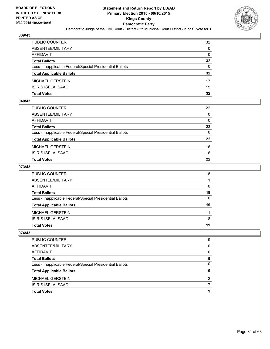

| PUBLIC COUNTER                                           | 32              |
|----------------------------------------------------------|-----------------|
| ABSENTEE/MILITARY                                        | $\mathbf{0}$    |
| AFFIDAVIT                                                | $\mathbf{0}$    |
| <b>Total Ballots</b>                                     | $32\phantom{a}$ |
| Less - Inapplicable Federal/Special Presidential Ballots | $\Omega$        |
| <b>Total Applicable Ballots</b>                          | $32\phantom{a}$ |
| MICHAEL GERSTEIN                                         | 17              |
| ISIRIS ISELA ISAAC                                       | 15              |
| Total Votes                                              | 32              |

## **040/43**

| <b>Total Votes</b>                                       | 22           |
|----------------------------------------------------------|--------------|
| <b>ISIRIS ISELA ISAAC</b>                                | 6            |
| MICHAEL GERSTEIN                                         | 16           |
| <b>Total Applicable Ballots</b>                          | $22 \,$      |
| Less - Inapplicable Federal/Special Presidential Ballots | $\mathbf{0}$ |
| <b>Total Ballots</b>                                     | 22           |
| AFFIDAVIT                                                | $\Omega$     |
| ABSENTEE/MILITARY                                        | $\Omega$     |
| PUBLIC COUNTER                                           | 22           |

## **073/43**

| PUBLIC COUNTER                                           | 18           |
|----------------------------------------------------------|--------------|
| ABSENTEE/MILITARY                                        |              |
| AFFIDAVIT                                                | 0            |
| Total Ballots                                            | 19           |
| Less - Inapplicable Federal/Special Presidential Ballots | $\mathbf{0}$ |
| <b>Total Applicable Ballots</b>                          | 19           |
| MICHAEL GERSTEIN                                         | 11           |
| ISIRIS ISELA ISAAC                                       | 8            |
| Total Votes                                              | 19           |
|                                                          |              |

| PUBLIC COUNTER                                           | 9 |
|----------------------------------------------------------|---|
| ABSENTEE/MILITARY                                        | 0 |
| AFFIDAVIT                                                | 0 |
| <b>Total Ballots</b>                                     | 9 |
| Less - Inapplicable Federal/Special Presidential Ballots | 0 |
| <b>Total Applicable Ballots</b>                          | 9 |
| <b>MICHAEL GERSTEIN</b>                                  | 2 |
| ISIRIS ISELA ISAAC                                       |   |
| <b>Total Votes</b>                                       | 9 |
|                                                          |   |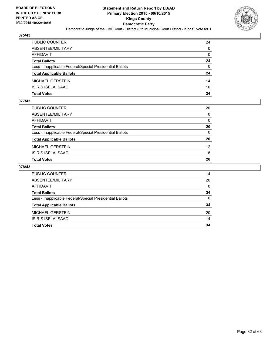

| PUBLIC COUNTER                                           | 24           |
|----------------------------------------------------------|--------------|
| ABSENTEE/MILITARY                                        | $\mathbf{0}$ |
| AFFIDAVIT                                                | $\mathbf{0}$ |
| Total Ballots                                            | 24           |
| Less - Inapplicable Federal/Special Presidential Ballots | $\Omega$     |
| <b>Total Applicable Ballots</b>                          | 24           |
| MICHAEL GERSTEIN                                         | 14           |
| ISIRIS ISELA ISAAC                                       | 10           |
| Total Votes                                              | 24           |

# **077/43**

| PUBLIC COUNTER                                           | 20              |
|----------------------------------------------------------|-----------------|
| ABSENTEE/MILITARY                                        | $\mathbf{0}$    |
| AFFIDAVIT                                                | 0               |
| Total Ballots                                            | 20              |
| Less - Inapplicable Federal/Special Presidential Ballots | $\mathbf{0}$    |
| <b>Total Applicable Ballots</b>                          | 20              |
| MICHAEL GERSTEIN                                         | 12 <sup>2</sup> |
| ISIRIS ISELA ISAAC                                       | 8               |
| Total Votes                                              | 20              |
|                                                          |                 |

| PUBLIC COUNTER                                           | 14       |
|----------------------------------------------------------|----------|
| ABSENTEE/MILITARY                                        | 20       |
| AFFIDAVIT                                                | $\Omega$ |
| <b>Total Ballots</b>                                     | 34       |
| Less - Inapplicable Federal/Special Presidential Ballots | $\Omega$ |
| <b>Total Applicable Ballots</b>                          | 34       |
| <b>MICHAEL GERSTEIN</b>                                  | 20       |
| <b>ISIRIS ISELA ISAAC</b>                                | 14       |
| <b>Total Votes</b>                                       | 34       |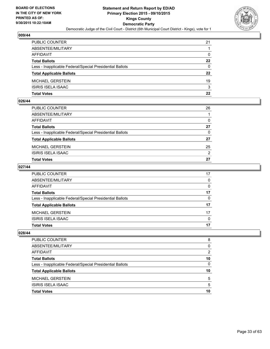

| PUBLIC COUNTER                                           | 21           |
|----------------------------------------------------------|--------------|
| ABSENTEE/MILITARY                                        |              |
| AFFIDAVIT                                                | $\mathbf{0}$ |
| Total Ballots                                            | 22           |
| Less - Inapplicable Federal/Special Presidential Ballots | $\Omega$     |
| <b>Total Applicable Ballots</b>                          | $22 \,$      |
| MICHAEL GERSTEIN                                         | 19           |
| ISIRIS ISELA ISAAC                                       | 3            |
| Total Votes                                              | 22           |

## **026/44**

| Total Votes                                              | 27           |
|----------------------------------------------------------|--------------|
| ISIRIS ISELA ISAAC                                       | 2            |
| MICHAEL GERSTEIN                                         | 25           |
| <b>Total Applicable Ballots</b>                          | 27           |
| Less - Inapplicable Federal/Special Presidential Ballots | $\mathbf{0}$ |
| Total Ballots                                            | 27           |
| AFFIDAVIT                                                | $\Omega$     |
| ABSENTEE/MILITARY                                        |              |
| PUBLIC COUNTER                                           | 26           |
|                                                          |              |

## **027/44**

| PUBLIC COUNTER                                           | 17           |
|----------------------------------------------------------|--------------|
| ABSENTEE/MILITARY                                        | $\mathbf{0}$ |
| AFFIDAVIT                                                | $\mathbf{0}$ |
| <b>Total Ballots</b>                                     | 17           |
| Less - Inapplicable Federal/Special Presidential Ballots | $\mathbf{0}$ |
| <b>Total Applicable Ballots</b>                          | 17           |
| MICHAEL GERSTEIN                                         | 17           |
| ISIRIS ISELA ISAAC                                       | $\mathbf{0}$ |
| Total Votes                                              | 17           |
|                                                          |              |

| <b>PUBLIC COUNTER</b>                                    | 8  |
|----------------------------------------------------------|----|
| ABSENTEE/MILITARY                                        | 0  |
| AFFIDAVIT                                                | 2  |
| <b>Total Ballots</b>                                     | 10 |
| Less - Inapplicable Federal/Special Presidential Ballots | 0  |
| <b>Total Applicable Ballots</b>                          | 10 |
| <b>MICHAEL GERSTEIN</b>                                  | 5  |
| <b>ISIRIS ISELA ISAAC</b>                                | 5  |
| <b>Total Votes</b>                                       | 10 |
|                                                          |    |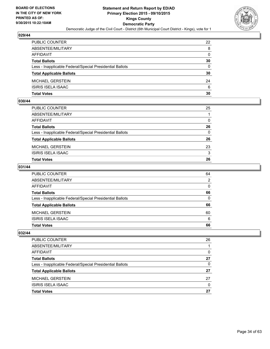

| PUBLIC COUNTER                                           | 22           |
|----------------------------------------------------------|--------------|
| ABSENTEE/MILITARY                                        | 8            |
| AFFIDAVIT                                                | $\mathbf{0}$ |
| Total Ballots                                            | 30           |
| Less - Inapplicable Federal/Special Presidential Ballots | $\Omega$     |
| <b>Total Applicable Ballots</b>                          | 30           |
| MICHAEL GERSTEIN                                         | 24           |
| ISIRIS ISELA ISAAC                                       | 6            |
| Total Votes                                              | 30           |

## **030/44**

| Total Votes                                              | 26           |
|----------------------------------------------------------|--------------|
| ISIRIS ISELA ISAAC                                       | 3            |
| MICHAEL GERSTEIN                                         | 23           |
| <b>Total Applicable Ballots</b>                          | 26           |
| Less - Inapplicable Federal/Special Presidential Ballots | $\mathbf{0}$ |
| Total Ballots                                            | 26           |
| AFFIDAVIT                                                | 0            |
| ABSENTEE/MILITARY                                        |              |
| PUBLIC COUNTER                                           | 25           |
|                                                          |              |

## **031/44**

| PUBLIC COUNTER                                           | 64           |
|----------------------------------------------------------|--------------|
| ABSENTEE/MILITARY                                        | 2            |
| AFFIDAVIT                                                | $\Omega$     |
| <b>Total Ballots</b>                                     | 66           |
| Less - Inapplicable Federal/Special Presidential Ballots | $\mathbf{0}$ |
| <b>Total Applicable Ballots</b>                          | 66           |
| MICHAEL GERSTEIN                                         | 60           |
| ISIRIS ISELA ISAAC                                       | 6            |
| <b>Total Votes</b>                                       | 66           |
|                                                          |              |

| <b>PUBLIC COUNTER</b>                                    | 26       |
|----------------------------------------------------------|----------|
| ABSENTEE/MILITARY                                        |          |
| AFFIDAVIT                                                | 0        |
| <b>Total Ballots</b>                                     | 27       |
| Less - Inapplicable Federal/Special Presidential Ballots | 0        |
| <b>Total Applicable Ballots</b>                          | 27       |
| <b>MICHAEL GERSTEIN</b>                                  | 27       |
| <b>ISIRIS ISELA ISAAC</b>                                | $\Omega$ |
| <b>Total Votes</b>                                       | 27       |
|                                                          |          |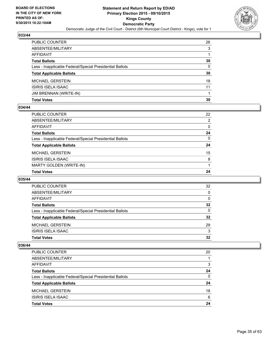![](_page_34_Picture_2.jpeg)

| <b>Total Votes</b>                                       | 30           |
|----------------------------------------------------------|--------------|
| JIM BRENNAN (WRITE-IN)                                   |              |
| ISIRIS ISELA ISAAC                                       | 11           |
| MICHAEL GERSTEIN                                         | 18           |
| <b>Total Applicable Ballots</b>                          | 30           |
| Less - Inapplicable Federal/Special Presidential Ballots | $\mathbf{0}$ |
| <b>Total Ballots</b>                                     | 30           |
| AFFIDAVIT                                                |              |
| ABSENTEE/MILITARY                                        | 3            |
| PUBLIC COUNTER                                           | 26           |

## **034/44**

| PUBLIC COUNTER                                           | 22           |
|----------------------------------------------------------|--------------|
| ABSENTEE/MILITARY                                        | 2            |
| AFFIDAVIT                                                | $\mathbf{0}$ |
| <b>Total Ballots</b>                                     | 24           |
| Less - Inapplicable Federal/Special Presidential Ballots | $\mathbf{0}$ |
| <b>Total Applicable Ballots</b>                          | 24           |
| MICHAEL GERSTEIN                                         | 15           |
| ISIRIS ISELA ISAAC                                       |              |
|                                                          | 8            |
| MARTY GOLDEN (WRITE-IN)                                  |              |
| <b>Total Votes</b>                                       | 24           |

## **035/44**

| <b>PUBLIC COUNTER</b>                                    | 32 |
|----------------------------------------------------------|----|
| ABSENTEE/MILITARY                                        | 0  |
| AFFIDAVIT                                                | 0  |
| <b>Total Ballots</b>                                     | 32 |
| Less - Inapplicable Federal/Special Presidential Ballots | 0  |
| <b>Total Applicable Ballots</b>                          | 32 |
| <b>MICHAEL GERSTEIN</b>                                  | 29 |
| <b>ISIRIS ISELA ISAAC</b>                                | 3  |
| <b>Total Votes</b>                                       | 32 |
|                                                          |    |

| PUBLIC COUNTER                                           | 20 |
|----------------------------------------------------------|----|
| ABSENTEE/MILITARY                                        |    |
| AFFIDAVIT                                                | 3  |
| <b>Total Ballots</b>                                     | 24 |
| Less - Inapplicable Federal/Special Presidential Ballots | 0  |
| <b>Total Applicable Ballots</b>                          | 24 |
| <b>MICHAEL GERSTEIN</b>                                  | 18 |
| <b>ISIRIS ISELA ISAAC</b>                                | 6  |
| <b>Total Votes</b>                                       | 24 |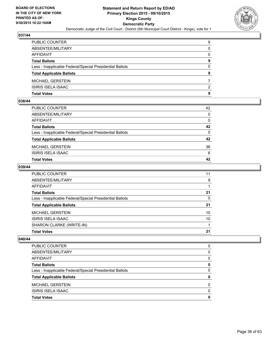![](_page_35_Picture_2.jpeg)

| PUBLIC COUNTER                                           | 9            |
|----------------------------------------------------------|--------------|
| ABSENTEE/MILITARY                                        | $\mathbf{0}$ |
| AFFIDAVIT                                                | 0            |
| Total Ballots                                            | 9            |
| Less - Inapplicable Federal/Special Presidential Ballots | $\Omega$     |
| <b>Total Applicable Ballots</b>                          | 9            |
| MICHAEL GERSTEIN                                         |              |
| ISIRIS ISELA ISAAC                                       | 2            |
| Total Votes                                              | 9            |

## **038/44**

| <b>Total Votes</b>                                       | 42           |
|----------------------------------------------------------|--------------|
|                                                          |              |
| ISIRIS ISELA ISAAC                                       | 6            |
| <b>MICHAEL GERSTEIN</b>                                  | 36           |
| <b>Total Applicable Ballots</b>                          | 42           |
| Less - Inapplicable Federal/Special Presidential Ballots | $\Omega$     |
| <b>Total Ballots</b>                                     | 42           |
| <b>AFFIDAVIT</b>                                         | $\Omega$     |
| ABSENTEE/MILITARY                                        | $\mathbf{0}$ |
| PUBLIC COUNTER                                           | 42           |

## **039/44**

| PUBLIC COUNTER                                           | 11 |
|----------------------------------------------------------|----|
| ABSENTEE/MILITARY                                        | 9  |
| AFFIDAVIT                                                |    |
| <b>Total Ballots</b>                                     | 21 |
| Less - Inapplicable Federal/Special Presidential Ballots | 0  |
| <b>Total Applicable Ballots</b>                          | 21 |
| MICHAEL GERSTEIN                                         | 10 |
| ISIRIS ISELA ISAAC                                       | 10 |
| SHARON CLARKE (WRITE-IN)                                 |    |
| <b>Total Votes</b>                                       | 21 |

| <b>Total Votes</b>                                       | 0        |
|----------------------------------------------------------|----------|
| ISIRIS ISELA ISAAC                                       | $\Omega$ |
| <b>MICHAEL GERSTEIN</b>                                  | 0        |
| <b>Total Applicable Ballots</b>                          | 0        |
| Less - Inapplicable Federal/Special Presidential Ballots | 0        |
| <b>Total Ballots</b>                                     | 0        |
| AFFIDAVIT                                                | 0        |
| ABSENTEE/MILITARY                                        | 0        |
| <b>PUBLIC COUNTER</b>                                    | 0        |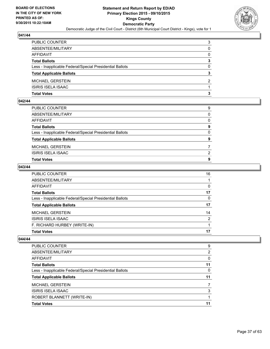![](_page_36_Picture_2.jpeg)

| PUBLIC COUNTER                                           | 3            |
|----------------------------------------------------------|--------------|
| ABSENTEE/MILITARY                                        | 0            |
| AFFIDAVIT                                                | $\mathbf{0}$ |
| <b>Total Ballots</b>                                     | 3            |
| Less - Inapplicable Federal/Special Presidential Ballots | 0            |
| <b>Total Applicable Ballots</b>                          | 3            |
| MICHAEL GERSTEIN                                         | 2            |
| ISIRIS ISELA ISAAC                                       |              |
| Total Votes                                              | з            |

## **042/44**

| PUBLIC COUNTER                                           | 9        |
|----------------------------------------------------------|----------|
| ABSENTEE/MILITARY                                        | $\Omega$ |
| AFFIDAVIT                                                | $\Omega$ |
| <b>Total Ballots</b>                                     | 9        |
| Less - Inapplicable Federal/Special Presidential Ballots | $\Omega$ |
| <b>Total Applicable Ballots</b>                          | 9        |
| MICHAEL GERSTEIN                                         |          |
| <b>ISIRIS ISELA ISAAC</b>                                | 2        |
| <b>Total Votes</b>                                       | 9        |
|                                                          |          |

## **043/44**

| PUBLIC COUNTER                                           | 16           |
|----------------------------------------------------------|--------------|
| ABSENTEE/MILITARY                                        |              |
| AFFIDAVIT                                                | $\mathbf{0}$ |
| Total Ballots                                            | 17           |
| Less - Inapplicable Federal/Special Presidential Ballots | $\mathbf{0}$ |
| <b>Total Applicable Ballots</b>                          | 17           |
| MICHAEL GERSTEIN                                         | 14           |
| ISIRIS ISELA ISAAC                                       | 2            |
| F. RICHARD HURBEY (WRITE-IN)                             |              |
| Total Votes                                              | 17           |

| <b>PUBLIC COUNTER</b>                                    | 9  |
|----------------------------------------------------------|----|
| ABSENTEE/MILITARY                                        | 2  |
| AFFIDAVIT                                                | 0  |
| <b>Total Ballots</b>                                     | 11 |
| Less - Inapplicable Federal/Special Presidential Ballots | 0  |
| <b>Total Applicable Ballots</b>                          | 11 |
| <b>MICHAEL GERSTEIN</b>                                  |    |
| ISIRIS ISELA ISAAC                                       | 3  |
| ROBERT BLANNETT (WRITE-IN)                               |    |
| <b>Total Votes</b>                                       | 11 |
|                                                          |    |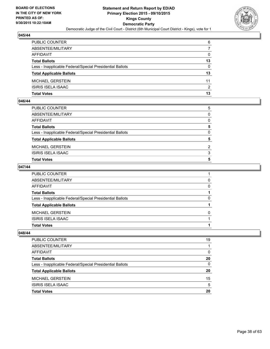![](_page_37_Picture_2.jpeg)

| PUBLIC COUNTER                                           | 6            |
|----------------------------------------------------------|--------------|
| ABSENTEE/MILITARY                                        | 7            |
| AFFIDAVIT                                                | $\mathbf{0}$ |
| <b>Total Ballots</b>                                     | 13           |
| Less - Inapplicable Federal/Special Presidential Ballots | $\Omega$     |
| <b>Total Applicable Ballots</b>                          | 13           |
| MICHAEL GERSTEIN                                         | 11           |
| ISIRIS ISELA ISAAC                                       | 2            |
| Total Votes                                              | 13           |

## **046/44**

| <b>Total Votes</b>                                       | 5        |
|----------------------------------------------------------|----------|
| <b>ISIRIS ISELA ISAAC</b>                                | 3        |
| MICHAEL GERSTEIN                                         | 2        |
| <b>Total Applicable Ballots</b>                          | 5        |
| Less - Inapplicable Federal/Special Presidential Ballots | $\Omega$ |
| <b>Total Ballots</b>                                     | 5        |
| AFFIDAVIT                                                | $\Omega$ |
| ABSENTEE/MILITARY                                        | $\Omega$ |
| PUBLIC COUNTER                                           | 5        |

## **047/44**

| PUBLIC COUNTER                                           |              |
|----------------------------------------------------------|--------------|
| ABSENTEE/MILITARY                                        | 0            |
| AFFIDAVIT                                                | 0            |
| <b>Total Ballots</b>                                     |              |
| Less - Inapplicable Federal/Special Presidential Ballots | 0            |
| <b>Total Applicable Ballots</b>                          |              |
| MICHAEL GERSTEIN                                         | <sup>0</sup> |
| ISIRIS ISELA ISAAC                                       |              |
| Total Votes                                              |              |
|                                                          |              |

| PUBLIC COUNTER                                           | 19 |
|----------------------------------------------------------|----|
| ABSENTEE/MILITARY                                        |    |
| AFFIDAVIT                                                | 0  |
| <b>Total Ballots</b>                                     | 20 |
| Less - Inapplicable Federal/Special Presidential Ballots | 0  |
| <b>Total Applicable Ballots</b>                          | 20 |
| <b>MICHAEL GERSTEIN</b>                                  | 15 |
| ISIRIS ISELA ISAAC                                       | 5  |
| <b>Total Votes</b>                                       | 20 |
|                                                          |    |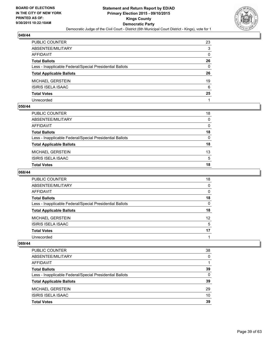![](_page_38_Picture_2.jpeg)

| PUBLIC COUNTER                                           | 23 |
|----------------------------------------------------------|----|
| ABSENTEE/MILITARY                                        | 3  |
| AFFIDAVIT                                                | 0  |
| Total Ballots                                            | 26 |
| Less - Inapplicable Federal/Special Presidential Ballots | 0  |
| <b>Total Applicable Ballots</b>                          | 26 |
| MICHAEL GERSTEIN                                         | 19 |
| ISIRIS ISELA ISAAC                                       | 6  |
| <b>Total Votes</b>                                       | 25 |
| Unrecorded                                               |    |

#### **050/44**

| PUBLIC COUNTER                                           | 18 |
|----------------------------------------------------------|----|
| ABSENTEE/MILITARY                                        | 0  |
| AFFIDAVIT                                                | 0  |
| Total Ballots                                            | 18 |
| Less - Inapplicable Federal/Special Presidential Ballots | 0  |
| <b>Total Applicable Ballots</b>                          | 18 |
| MICHAEL GERSTEIN                                         | 13 |
| ISIRIS ISELA ISAAC                                       | 5  |
| Total Votes                                              | 18 |
|                                                          |    |

## **068/44**

| <b>PUBLIC COUNTER</b>                                    | 18 |
|----------------------------------------------------------|----|
| ABSENTEE/MILITARY                                        | 0  |
| AFFIDAVIT                                                | 0  |
| <b>Total Ballots</b>                                     | 18 |
| Less - Inapplicable Federal/Special Presidential Ballots | 0  |
| <b>Total Applicable Ballots</b>                          | 18 |
| <b>MICHAEL GERSTEIN</b>                                  | 12 |
| <b>ISIRIS ISELA ISAAC</b>                                | 5  |
| <b>Total Votes</b>                                       | 17 |
| Unrecorded                                               |    |

| PUBLIC COUNTER                                           | 38       |
|----------------------------------------------------------|----------|
| ABSENTEE/MILITARY                                        | 0        |
| AFFIDAVIT                                                |          |
| <b>Total Ballots</b>                                     | 39       |
| Less - Inapplicable Federal/Special Presidential Ballots | $\Omega$ |
| <b>Total Applicable Ballots</b>                          | 39       |
| <b>MICHAEL GERSTEIN</b>                                  | 29       |
| <b>ISIRIS ISELA ISAAC</b>                                | 10       |
| <b>Total Votes</b>                                       | 39       |
|                                                          |          |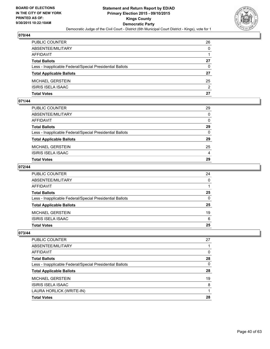![](_page_39_Picture_2.jpeg)

| PUBLIC COUNTER                                           | 26           |
|----------------------------------------------------------|--------------|
| ABSENTEE/MILITARY                                        | $\mathbf{0}$ |
| AFFIDAVIT                                                |              |
| Total Ballots                                            | 27           |
| Less - Inapplicable Federal/Special Presidential Ballots | $\Omega$     |
| <b>Total Applicable Ballots</b>                          | 27           |
| MICHAEL GERSTEIN                                         | 25           |
| ISIRIS ISELA ISAAC                                       | 2            |
| Total Votes                                              | 27           |

# **071/44**

| Total Votes                                              | 29           |
|----------------------------------------------------------|--------------|
| ISIRIS ISELA ISAAC                                       | 4            |
| MICHAEL GERSTEIN                                         | 25           |
| <b>Total Applicable Ballots</b>                          | 29           |
| Less - Inapplicable Federal/Special Presidential Ballots | $\mathbf{0}$ |
| Total Ballots                                            | 29           |
| AFFIDAVIT                                                | $\mathbf{0}$ |
| ABSENTEE/MILITARY                                        | $\mathbf{0}$ |
| PUBLIC COUNTER                                           | 29           |
|                                                          |              |

## **072/44**

| PUBLIC COUNTER                                           | 24           |
|----------------------------------------------------------|--------------|
| ABSENTEE/MILITARY                                        | $\mathbf{0}$ |
| AFFIDAVIT                                                |              |
| <b>Total Ballots</b>                                     | 25           |
| Less - Inapplicable Federal/Special Presidential Ballots | $\mathbf{0}$ |
| <b>Total Applicable Ballots</b>                          | 25           |
| MICHAEL GERSTEIN                                         | 19           |
| ISIRIS ISELA ISAAC                                       | 6            |
| Total Votes                                              | 25           |
|                                                          |              |

| PUBLIC COUNTER                                           | 27 |
|----------------------------------------------------------|----|
| ABSENTEE/MILITARY                                        |    |
| AFFIDAVIT                                                | 0  |
| <b>Total Ballots</b>                                     | 28 |
| Less - Inapplicable Federal/Special Presidential Ballots | 0  |
| <b>Total Applicable Ballots</b>                          | 28 |
| <b>MICHAEL GERSTEIN</b>                                  | 19 |
| <b>ISIRIS ISELA ISAAC</b>                                | 8  |
| LAURA HORLICK (WRITE-IN)                                 |    |
| <b>Total Votes</b>                                       | 28 |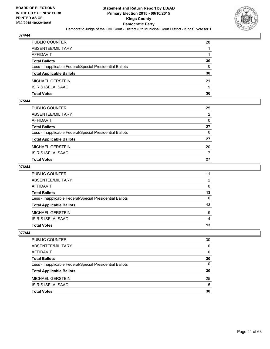![](_page_40_Picture_2.jpeg)

| PUBLIC COUNTER                                           | 28 |
|----------------------------------------------------------|----|
| ABSENTEE/MILITARY                                        |    |
| AFFIDAVIT                                                |    |
| Total Ballots                                            | 30 |
| Less - Inapplicable Federal/Special Presidential Ballots | 0  |
| <b>Total Applicable Ballots</b>                          | 30 |
| MICHAEL GERSTEIN                                         | 21 |
| ISIRIS ISELA ISAAC                                       | 9  |
| Total Votes                                              | 30 |

## **075/44**

| <b>Total Votes</b>                                       | 27           |
|----------------------------------------------------------|--------------|
| ISIRIS ISELA ISAAC                                       | 7            |
| MICHAEL GERSTEIN                                         | 20           |
| <b>Total Applicable Ballots</b>                          | 27           |
| Less - Inapplicable Federal/Special Presidential Ballots | $\mathbf{0}$ |
| <b>Total Ballots</b>                                     | 27           |
| AFFIDAVIT                                                | $\Omega$     |
| ABSENTEE/MILITARY                                        | 2            |
| PUBLIC COUNTER                                           | 25           |

## **076/44**

| PUBLIC COUNTER                                           | 11           |
|----------------------------------------------------------|--------------|
| ABSENTEE/MILITARY                                        | 2            |
| AFFIDAVIT                                                | $\Omega$     |
| <b>Total Ballots</b>                                     | 13           |
| Less - Inapplicable Federal/Special Presidential Ballots | $\mathbf{0}$ |
| <b>Total Applicable Ballots</b>                          | 13           |
| MICHAEL GERSTEIN                                         | 9            |
| ISIRIS ISELA ISAAC                                       | 4            |
| <b>Total Votes</b>                                       | 13           |
|                                                          |              |

| PUBLIC COUNTER                                           | 30 |
|----------------------------------------------------------|----|
| ABSENTEE/MILITARY                                        | 0  |
| AFFIDAVIT                                                | 0  |
| <b>Total Ballots</b>                                     | 30 |
| Less - Inapplicable Federal/Special Presidential Ballots | 0  |
| <b>Total Applicable Ballots</b>                          | 30 |
| <b>MICHAEL GERSTEIN</b>                                  | 25 |
| ISIRIS ISELA ISAAC                                       | 5  |
| <b>Total Votes</b>                                       | 30 |
|                                                          |    |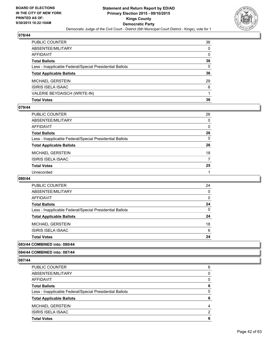![](_page_41_Picture_2.jpeg)

| PUBLIC COUNTER                                           | 36           |
|----------------------------------------------------------|--------------|
| ABSENTEE/MILITARY                                        | $\mathbf{0}$ |
| AFFIDAVIT                                                | $\mathbf{0}$ |
| Total Ballots                                            | 36           |
| Less - Inapplicable Federal/Special Presidential Ballots | $\mathbf{0}$ |
| <b>Total Applicable Ballots</b>                          | 36           |
| MICHAEL GERSTEIN                                         | 29           |
| ISIRIS ISELA ISAAC                                       | 6            |
| VALERIE BEYDAISCH (WRITE-IN)                             |              |
| <b>Total Votes</b>                                       | 36           |

#### **079/44**

| PUBLIC COUNTER                                           | 26           |
|----------------------------------------------------------|--------------|
| ABSENTEE/MILITARY                                        | $\mathbf{0}$ |
| AFFIDAVIT                                                | $\mathbf{0}$ |
| <b>Total Ballots</b>                                     | 26           |
| Less - Inapplicable Federal/Special Presidential Ballots | $\Omega$     |
| <b>Total Applicable Ballots</b>                          | 26           |
| MICHAEL GERSTEIN                                         | 18           |
| ISIRIS ISELA ISAAC                                       | 7            |
| <b>Total Votes</b>                                       | 25           |
|                                                          |              |
| Unrecorded                                               |              |

#### **080/44**

| <b>Total Votes</b>                                       | 24 |
|----------------------------------------------------------|----|
| <b>ISIRIS ISELA ISAAC</b>                                | 6  |
| <b>MICHAEL GERSTEIN</b>                                  | 18 |
| <b>Total Applicable Ballots</b>                          | 24 |
| Less - Inapplicable Federal/Special Presidential Ballots | 0  |
| <b>Total Ballots</b>                                     | 24 |
| AFFIDAVIT                                                | 0  |
| ABSENTEE/MILITARY                                        | 0  |
| <b>PUBLIC COUNTER</b>                                    | 24 |

## **083/44 COMBINED into: 080/44**

**084/44 COMBINED into: 087/44**

| PUBLIC COUNTER                                           | 6        |
|----------------------------------------------------------|----------|
| ABSENTEE/MILITARY                                        | 0        |
| <b>AFFIDAVIT</b>                                         | 0        |
| <b>Total Ballots</b>                                     | 6        |
| Less - Inapplicable Federal/Special Presidential Ballots | $\Omega$ |
| <b>Total Applicable Ballots</b>                          | 6        |
| <b>MICHAEL GERSTEIN</b>                                  | 4        |
| ISIRIS ISELA ISAAC                                       | 2        |
| <b>Total Votes</b>                                       | 6        |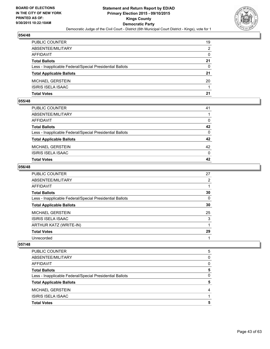![](_page_42_Picture_2.jpeg)

| PUBLIC COUNTER                                           | 19           |
|----------------------------------------------------------|--------------|
| ABSENTEE/MILITARY                                        | 2            |
| AFFIDAVIT                                                | $\mathbf{0}$ |
| Total Ballots                                            | 21           |
| Less - Inapplicable Federal/Special Presidential Ballots | $\Omega$     |
| <b>Total Applicable Ballots</b>                          | 21           |
| MICHAEL GERSTEIN                                         | 20           |
| ISIRIS ISELA ISAAC                                       |              |
| Total Votes                                              | 21           |

## **055/48**

| Total Votes                                              | 42           |
|----------------------------------------------------------|--------------|
| ISIRIS ISELA ISAAC                                       | $\mathbf{0}$ |
| MICHAEL GERSTEIN                                         | 42           |
| <b>Total Applicable Ballots</b>                          | 42           |
| Less - Inapplicable Federal/Special Presidential Ballots | $\mathbf{0}$ |
| Total Ballots                                            | 42           |
| AFFIDAVIT                                                | $\Omega$     |
| ABSENTEE/MILITARY                                        |              |
| PUBLIC COUNTER                                           | 41           |
|                                                          |              |

#### **056/48**

| PUBLIC COUNTER                                           | 27             |
|----------------------------------------------------------|----------------|
| ABSENTEE/MILITARY                                        | $\overline{2}$ |
| <b>AFFIDAVIT</b>                                         |                |
| <b>Total Ballots</b>                                     | 30             |
| Less - Inapplicable Federal/Special Presidential Ballots | 0              |
| <b>Total Applicable Ballots</b>                          | 30             |
| <b>MICHAEL GERSTEIN</b>                                  | 25             |
| ISIRIS ISELA ISAAC                                       | 3              |
| ARTHUR KATZ (WRITE-IN)                                   |                |
| <b>Total Votes</b>                                       | 29             |
| Unrecorded                                               |                |
|                                                          |                |

| PUBLIC COUNTER                                           | 5 |
|----------------------------------------------------------|---|
| ABSENTEE/MILITARY                                        | 0 |
| AFFIDAVIT                                                | 0 |
| <b>Total Ballots</b>                                     | 5 |
| Less - Inapplicable Federal/Special Presidential Ballots | 0 |
| <b>Total Applicable Ballots</b>                          | 5 |
| <b>MICHAEL GERSTEIN</b>                                  | 4 |
| ISIRIS ISELA ISAAC                                       |   |
| <b>Total Votes</b>                                       | 5 |
|                                                          |   |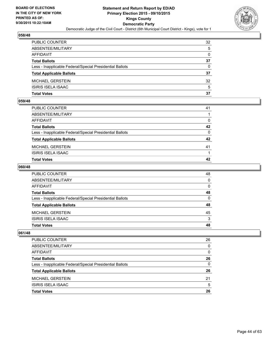![](_page_43_Picture_2.jpeg)

| PUBLIC COUNTER                                           | 32           |
|----------------------------------------------------------|--------------|
| ABSENTEE/MILITARY                                        | 5            |
| AFFIDAVIT                                                | $\mathbf{0}$ |
| <b>Total Ballots</b>                                     | 37           |
| Less - Inapplicable Federal/Special Presidential Ballots | $\Omega$     |
| <b>Total Applicable Ballots</b>                          | 37           |
| MICHAEL GERSTEIN                                         | 32           |
| ISIRIS ISELA ISAAC                                       | 5            |
| Total Votes                                              | 37           |

## **059/48**

| <b>Total Votes</b>                                       | 42       |
|----------------------------------------------------------|----------|
| ISIRIS ISELA ISAAC                                       |          |
| <b>MICHAEL GERSTEIN</b>                                  | 41       |
| <b>Total Applicable Ballots</b>                          | 42       |
| Less - Inapplicable Federal/Special Presidential Ballots | $\Omega$ |
| <b>Total Ballots</b>                                     | 42       |
| <b>AFFIDAVIT</b>                                         | $\Omega$ |
| ABSENTEE/MILITARY                                        |          |
| PUBLIC COUNTER                                           | 41       |

#### **060/48**

| PUBLIC COUNTER                                           | 48           |
|----------------------------------------------------------|--------------|
| ABSENTEE/MILITARY                                        | $\mathbf{0}$ |
| AFFIDAVIT                                                | $\mathbf{0}$ |
| Total Ballots                                            | 48           |
| Less - Inapplicable Federal/Special Presidential Ballots | $\mathbf{0}$ |
| <b>Total Applicable Ballots</b>                          | 48           |
| MICHAEL GERSTEIN                                         | 45           |
| ISIRIS ISELA ISAAC                                       | 3            |
| Total Votes                                              | 48           |
|                                                          |              |

| <b>PUBLIC COUNTER</b>                                    | 26 |
|----------------------------------------------------------|----|
| ABSENTEE/MILITARY                                        | 0  |
| AFFIDAVIT                                                | 0  |
| <b>Total Ballots</b>                                     | 26 |
| Less - Inapplicable Federal/Special Presidential Ballots | 0  |
| <b>Total Applicable Ballots</b>                          | 26 |
| <b>MICHAEL GERSTEIN</b>                                  | 21 |
| <b>ISIRIS ISELA ISAAC</b>                                | 5  |
| <b>Total Votes</b>                                       | 26 |
|                                                          |    |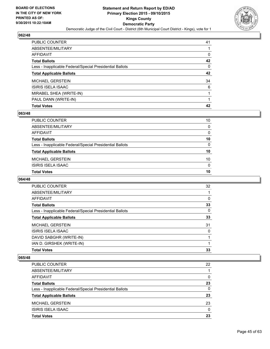![](_page_44_Picture_2.jpeg)

| <b>Total Votes</b>                                       | 42           |
|----------------------------------------------------------|--------------|
| PAUL DANN (WRITE-IN)                                     |              |
| MIRABEL SHEA (WRITE-IN)                                  |              |
| ISIRIS ISELA ISAAC                                       | 6            |
| MICHAEL GERSTEIN                                         | 34           |
| <b>Total Applicable Ballots</b>                          | 42           |
| Less - Inapplicable Federal/Special Presidential Ballots | $\mathbf{0}$ |
| Total Ballots                                            | 42           |
| AFFIDAVIT                                                | 0            |
| ABSENTEE/MILITARY                                        |              |
| PUBLIC COUNTER                                           | 41           |

## **063/48**

| PUBLIC COUNTER                                           | 10              |
|----------------------------------------------------------|-----------------|
| ABSENTEE/MILITARY                                        | $\mathbf 0$     |
| AFFIDAVIT                                                | $\mathbf{0}$    |
| Total Ballots                                            | 10              |
| Less - Inapplicable Federal/Special Presidential Ballots | $\mathbf{0}$    |
| <b>Total Applicable Ballots</b>                          | 10              |
| MICHAEL GERSTEIN                                         | 10 <sup>°</sup> |
| ISIRIS ISELA ISAAC                                       | $\mathbf{0}$    |
| <b>Total Votes</b>                                       | 10              |
|                                                          |                 |

### **064/48**

| PUBLIC COUNTER                                           | 32 |
|----------------------------------------------------------|----|
| ABSENTEE/MILITARY                                        |    |
| AFFIDAVIT                                                | 0  |
| <b>Total Ballots</b>                                     | 33 |
| Less - Inapplicable Federal/Special Presidential Ballots | 0  |
| <b>Total Applicable Ballots</b>                          | 33 |
| <b>MICHAEL GERSTEIN</b>                                  | 31 |
| <b>ISIRIS ISELA ISAAC</b>                                | 0  |
| DAVID SABGHR (WRITE-IN)                                  |    |
| IAN D. GIRSHEK (WRITE-IN)                                |    |
| <b>Total Votes</b>                                       | 33 |
|                                                          |    |

| PUBLIC COUNTER                                           | 22       |
|----------------------------------------------------------|----------|
| ABSENTEE/MILITARY                                        |          |
| AFFIDAVIT                                                | $\Omega$ |
| <b>Total Ballots</b>                                     | 23       |
| Less - Inapplicable Federal/Special Presidential Ballots | 0        |
| <b>Total Applicable Ballots</b>                          | 23       |
| <b>MICHAEL GERSTEIN</b>                                  | 23       |
| <b>ISIRIS ISELA ISAAC</b>                                | $\Omega$ |
| <b>Total Votes</b>                                       | 23       |
|                                                          |          |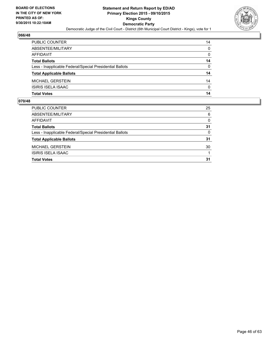![](_page_45_Picture_2.jpeg)

| Total Votes                                              | 14           |
|----------------------------------------------------------|--------------|
| ISIRIS ISELA ISAAC                                       | $\mathbf{0}$ |
| MICHAEL GERSTEIN                                         | 14           |
| <b>Total Applicable Ballots</b>                          | 14           |
| Less - Inapplicable Federal/Special Presidential Ballots | $\Omega$     |
| <b>Total Ballots</b>                                     | 14           |
| AFFIDAVIT                                                | $\mathbf{0}$ |
| ABSENTEE/MILITARY                                        | $\Omega$     |
| PUBLIC COUNTER                                           | 14           |

| PUBLIC COUNTER                                           | 25       |
|----------------------------------------------------------|----------|
| ABSENTEE/MILITARY                                        | 6        |
| <b>AFFIDAVIT</b>                                         | $\Omega$ |
| <b>Total Ballots</b>                                     | 31       |
| Less - Inapplicable Federal/Special Presidential Ballots | $\Omega$ |
| <b>Total Applicable Ballots</b>                          | 31       |
| <b>MICHAEL GERSTEIN</b>                                  | 30       |
| <b>ISIRIS ISELA ISAAC</b>                                |          |
| <b>Total Votes</b>                                       | 31       |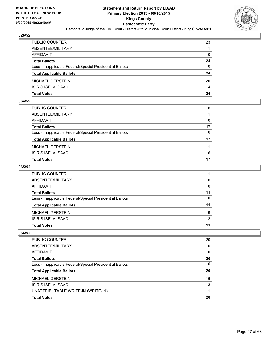![](_page_46_Picture_2.jpeg)

| PUBLIC COUNTER                                           | 23           |
|----------------------------------------------------------|--------------|
| ABSENTEE/MILITARY                                        |              |
| AFFIDAVIT                                                | $\mathbf{0}$ |
| Total Ballots                                            | 24           |
| Less - Inapplicable Federal/Special Presidential Ballots | $\Omega$     |
| <b>Total Applicable Ballots</b>                          | 24           |
| MICHAEL GERSTEIN                                         | 20           |
| ISIRIS ISELA ISAAC                                       | 4            |
| Total Votes                                              | 24           |

# **064/52**

| Total Votes                                              | 17           |
|----------------------------------------------------------|--------------|
| ISIRIS ISELA ISAAC                                       | 6            |
| MICHAEL GERSTEIN                                         | 11           |
| <b>Total Applicable Ballots</b>                          | 17           |
| Less - Inapplicable Federal/Special Presidential Ballots | $\mathbf{0}$ |
| Total Ballots                                            | 17           |
| AFFIDAVIT                                                | $\Omega$     |
| ABSENTEE/MILITARY                                        |              |
| PUBLIC COUNTER                                           | 16           |

#### **065/52**

| PUBLIC COUNTER                                           | 11           |
|----------------------------------------------------------|--------------|
| ABSENTEE/MILITARY                                        | $\mathbf{0}$ |
| AFFIDAVIT                                                | 0            |
| <b>Total Ballots</b>                                     | 11           |
| Less - Inapplicable Federal/Special Presidential Ballots | $\Omega$     |
| <b>Total Applicable Ballots</b>                          | 11           |
| MICHAEL GERSTEIN                                         | 9            |
| ISIRIS ISELA ISAAC                                       | 2            |
| <b>Total Votes</b>                                       | 11           |
|                                                          |              |

| PUBLIC COUNTER                                           | 20 |
|----------------------------------------------------------|----|
| ABSENTEE/MILITARY                                        | 0  |
| AFFIDAVIT                                                | 0  |
| <b>Total Ballots</b>                                     | 20 |
| Less - Inapplicable Federal/Special Presidential Ballots | 0  |
| <b>Total Applicable Ballots</b>                          | 20 |
| <b>MICHAEL GERSTEIN</b>                                  | 16 |
| ISIRIS ISELA ISAAC                                       | 3  |
| UNATTRIBUTABLE WRITE-IN (WRITE-IN)                       |    |
| <b>Total Votes</b>                                       | 20 |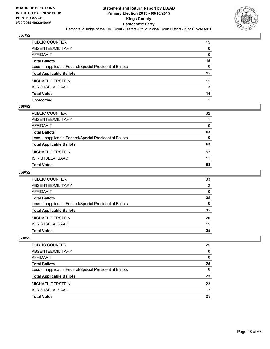![](_page_47_Picture_2.jpeg)

| PUBLIC COUNTER                                           | 15 |
|----------------------------------------------------------|----|
| ABSENTEE/MILITARY                                        | 0  |
| AFFIDAVIT                                                | 0  |
| Total Ballots                                            | 15 |
| Less - Inapplicable Federal/Special Presidential Ballots | 0  |
| <b>Total Applicable Ballots</b>                          | 15 |
| MICHAEL GERSTEIN                                         | 11 |
| ISIRIS ISELA ISAAC                                       | 3  |
| <b>Total Votes</b>                                       | 14 |
| Unrecorded                                               |    |

## **068/52**

| PUBLIC COUNTER                                           | 62 |
|----------------------------------------------------------|----|
| ABSENTEE/MILITARY                                        |    |
| AFFIDAVIT                                                | 0  |
| Total Ballots                                            | 63 |
| Less - Inapplicable Federal/Special Presidential Ballots | 0  |
| <b>Total Applicable Ballots</b>                          | 63 |
| MICHAEL GERSTEIN                                         | 52 |
| ISIRIS ISELA ISAAC                                       | 11 |
| <b>Total Votes</b>                                       | 63 |
|                                                          |    |

# **069/52**

| <b>Total Votes</b>                                       | 35       |
|----------------------------------------------------------|----------|
|                                                          |          |
| <b>ISIRIS ISELA ISAAC</b>                                | 15       |
| <b>MICHAEL GERSTEIN</b>                                  | 20       |
| <b>Total Applicable Ballots</b>                          | 35       |
| Less - Inapplicable Federal/Special Presidential Ballots | $\Omega$ |
| <b>Total Ballots</b>                                     | 35       |
| AFFIDAVIT                                                | $\Omega$ |
| ABSENTEE/MILITARY                                        | 2        |
| PUBLIC COUNTER                                           | 33       |

| <b>PUBLIC COUNTER</b>                                    | 25 |
|----------------------------------------------------------|----|
| ABSENTEE/MILITARY                                        | 0  |
| AFFIDAVIT                                                | 0  |
| <b>Total Ballots</b>                                     | 25 |
| Less - Inapplicable Federal/Special Presidential Ballots | 0  |
| <b>Total Applicable Ballots</b>                          | 25 |
| <b>MICHAEL GERSTEIN</b>                                  | 23 |
| ISIRIS ISELA ISAAC                                       | 2  |
| <b>Total Votes</b>                                       | 25 |
|                                                          |    |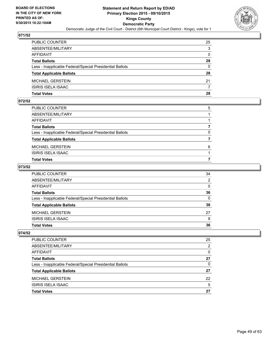![](_page_48_Picture_2.jpeg)

| PUBLIC COUNTER                                           | 25           |
|----------------------------------------------------------|--------------|
| ABSENTEE/MILITARY                                        | 3            |
| AFFIDAVIT                                                | $\mathbf{0}$ |
| <b>Total Ballots</b>                                     | 28           |
| Less - Inapplicable Federal/Special Presidential Ballots | $\Omega$     |
| <b>Total Applicable Ballots</b>                          | 28           |
| MICHAEL GERSTEIN                                         | 21           |
| ISIRIS ISELA ISAAC                                       | 7            |
| Total Votes                                              | 28           |

#### **072/52**

| PUBLIC COUNTER                                           | 5            |
|----------------------------------------------------------|--------------|
| ABSENTEE/MILITARY                                        |              |
| AFFIDAVIT                                                |              |
| <b>Total Ballots</b>                                     |              |
| Less - Inapplicable Federal/Special Presidential Ballots | $\mathbf{0}$ |
| <b>Total Applicable Ballots</b>                          |              |
| MICHAEL GERSTEIN                                         | 6            |
| ISIRIS ISELA ISAAC                                       |              |
| Total Votes                                              |              |
|                                                          |              |

## **073/52**

| PUBLIC COUNTER                                           | 34           |
|----------------------------------------------------------|--------------|
| ABSENTEE/MILITARY                                        | 2            |
| AFFIDAVIT                                                | $\mathbf{0}$ |
| <b>Total Ballots</b>                                     | 36           |
| Less - Inapplicable Federal/Special Presidential Ballots | $\mathbf{0}$ |
| <b>Total Applicable Ballots</b>                          | 36           |
| MICHAEL GERSTEIN                                         | 27           |
| <b>ISIRIS ISELA ISAAC</b>                                | 9            |
| <b>Total Votes</b>                                       | 36           |
|                                                          |              |

| PUBLIC COUNTER                                           | 25 |
|----------------------------------------------------------|----|
| ABSENTEE/MILITARY                                        | 2  |
| AFFIDAVIT                                                | 0  |
| <b>Total Ballots</b>                                     | 27 |
| Less - Inapplicable Federal/Special Presidential Ballots | 0  |
| <b>Total Applicable Ballots</b>                          | 27 |
| <b>MICHAEL GERSTEIN</b>                                  | 22 |
| ISIRIS ISELA ISAAC                                       | 5  |
| <b>Total Votes</b>                                       | 27 |
|                                                          |    |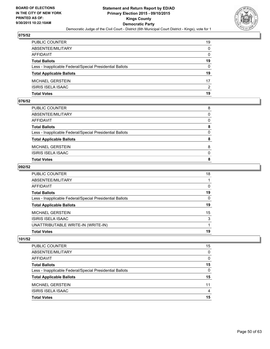![](_page_49_Picture_2.jpeg)

| PUBLIC COUNTER                                           | 19           |
|----------------------------------------------------------|--------------|
| ABSENTEE/MILITARY                                        | $\mathbf{0}$ |
| AFFIDAVIT                                                | $\mathbf{0}$ |
| <b>Total Ballots</b>                                     | 19           |
| Less - Inapplicable Federal/Special Presidential Ballots | $\Omega$     |
| <b>Total Applicable Ballots</b>                          | 19           |
| MICHAEL GERSTEIN                                         | 17           |
| ISIRIS ISELA ISAAC                                       | 2            |
| Total Votes                                              | 19           |

#### **076/52**

| <b>Total Votes</b>                                       | 8        |
|----------------------------------------------------------|----------|
| <b>ISIRIS ISELA ISAAC</b>                                | $\Omega$ |
| MICHAEL GERSTEIN                                         | 8        |
| <b>Total Applicable Ballots</b>                          | 8        |
| Less - Inapplicable Federal/Special Presidential Ballots | 0        |
| <b>Total Ballots</b>                                     | 8        |
| AFFIDAVIT                                                | $\Omega$ |
| ABSENTEE/MILITARY                                        | $\Omega$ |
| PUBLIC COUNTER                                           | 8        |

#### **092/52**

| Total Votes                                              | 19           |
|----------------------------------------------------------|--------------|
| UNATTRIBUTABLE WRITE-IN (WRITE-IN)                       |              |
| ISIRIS ISELA ISAAC                                       | 3            |
| MICHAEL GERSTEIN                                         | 15           |
| <b>Total Applicable Ballots</b>                          | 19           |
| Less - Inapplicable Federal/Special Presidential Ballots | $\mathbf{0}$ |
| Total Ballots                                            | 19           |
| AFFIDAVIT                                                | $\mathbf{0}$ |
| ABSENTEE/MILITARY                                        |              |
| PUBLIC COUNTER                                           | 18           |

| <b>Total Votes</b>                                       | 15             |
|----------------------------------------------------------|----------------|
| ISIRIS ISELA ISAAC                                       | $\overline{4}$ |
| <b>MICHAEL GERSTEIN</b>                                  | 11             |
| <b>Total Applicable Ballots</b>                          | 15             |
| Less - Inapplicable Federal/Special Presidential Ballots | 0              |
| <b>Total Ballots</b>                                     | 15             |
| AFFIDAVIT                                                | $\Omega$       |
| ABSENTEE/MILITARY                                        | 0              |
| <b>PUBLIC COUNTER</b>                                    | 15             |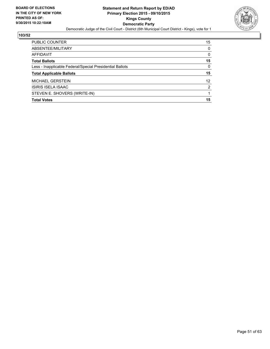![](_page_50_Picture_2.jpeg)

| <b>Total Votes</b>                                       | 15 |
|----------------------------------------------------------|----|
| STEVEN E. SHOVERS (WRITE-IN)                             |    |
| ISIRIS ISELA ISAAC                                       | 2  |
| <b>MICHAEL GERSTEIN</b>                                  | 12 |
| <b>Total Applicable Ballots</b>                          | 15 |
| Less - Inapplicable Federal/Special Presidential Ballots | 0  |
| <b>Total Ballots</b>                                     | 15 |
| AFFIDAVIT                                                | 0  |
| ABSENTEE/MILITARY                                        | 0  |
| <b>PUBLIC COUNTER</b>                                    | 15 |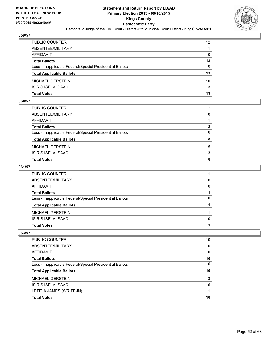![](_page_51_Picture_2.jpeg)

| PUBLIC COUNTER                                           | 12 <sup>2</sup> |
|----------------------------------------------------------|-----------------|
| ABSENTEE/MILITARY                                        |                 |
| AFFIDAVIT                                                | $\mathbf{0}$    |
| <b>Total Ballots</b>                                     | 13              |
| Less - Inapplicable Federal/Special Presidential Ballots | $\Omega$        |
| <b>Total Applicable Ballots</b>                          | 13              |
| MICHAEL GERSTEIN                                         | 10              |
| ISIRIS ISELA ISAAC                                       | 3               |
| Total Votes                                              | 13              |

### **060/57**

| <b>Total Votes</b>                                       | 8        |
|----------------------------------------------------------|----------|
| <b>ISIRIS ISELA ISAAC</b>                                | 3        |
| MICHAEL GERSTEIN                                         | 5        |
| <b>Total Applicable Ballots</b>                          | 8        |
| Less - Inapplicable Federal/Special Presidential Ballots | $\Omega$ |
| <b>Total Ballots</b>                                     | 8        |
| AFFIDAVIT                                                |          |
| ABSENTEE/MILITARY                                        | 0        |
| PUBLIC COUNTER                                           |          |

## **061/57**

| PUBLIC COUNTER                                           |          |
|----------------------------------------------------------|----------|
| ABSENTEE/MILITARY                                        | 0        |
| AFFIDAVIT                                                | $\Omega$ |
| <b>Total Ballots</b>                                     |          |
| Less - Inapplicable Federal/Special Presidential Ballots | 0        |
| <b>Total Applicable Ballots</b>                          |          |
| MICHAEL GERSTEIN                                         |          |
| ISIRIS ISELA ISAAC                                       | $\Omega$ |
| Total Votes                                              |          |
|                                                          |          |

| PUBLIC COUNTER                                           | 10 |
|----------------------------------------------------------|----|
| ABSENTEE/MILITARY                                        | 0  |
| <b>AFFIDAVIT</b>                                         | 0  |
| <b>Total Ballots</b>                                     | 10 |
| Less - Inapplicable Federal/Special Presidential Ballots | 0  |
| <b>Total Applicable Ballots</b>                          | 10 |
| <b>MICHAEL GERSTEIN</b>                                  | 3  |
| <b>ISIRIS ISELA ISAAC</b>                                | 6  |
| LETITIA JAMES (WRITE-IN)                                 |    |
| <b>Total Votes</b>                                       | 10 |
|                                                          |    |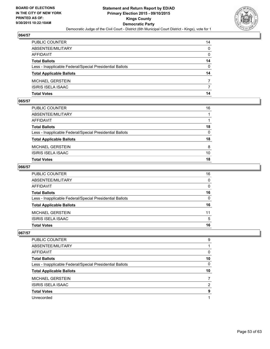![](_page_52_Picture_2.jpeg)

| PUBLIC COUNTER                                           | 14           |
|----------------------------------------------------------|--------------|
| ABSENTEE/MILITARY                                        | $\Omega$     |
| AFFIDAVIT                                                | $\mathbf{0}$ |
| Total Ballots                                            | 14           |
| Less - Inapplicable Federal/Special Presidential Ballots | $\Omega$     |
| <b>Total Applicable Ballots</b>                          | 14           |
| MICHAEL GERSTEIN                                         | 7            |
| ISIRIS ISELA ISAAC                                       | 7            |
| Total Votes                                              | 14           |

## **065/57**

| <b>Total Votes</b>                                       | 18       |
|----------------------------------------------------------|----------|
| <b>ISIRIS ISELA ISAAC</b>                                | 10       |
| <b>MICHAEL GERSTEIN</b>                                  | 8        |
| <b>Total Applicable Ballots</b>                          | 18       |
| Less - Inapplicable Federal/Special Presidential Ballots | $\Omega$ |
| <b>Total Ballots</b>                                     | 18       |
| <b>AFFIDAVIT</b>                                         |          |
| ABSENTEE/MILITARY                                        |          |
| PUBLIC COUNTER                                           | 16       |

#### **066/57**

| PUBLIC COUNTER                                           | 16           |
|----------------------------------------------------------|--------------|
| ABSENTEE/MILITARY                                        | $\mathbf{0}$ |
| AFFIDAVIT                                                | $\Omega$     |
| <b>Total Ballots</b>                                     | 16           |
| Less - Inapplicable Federal/Special Presidential Ballots | 0            |
| <b>Total Applicable Ballots</b>                          | 16           |
| MICHAEL GERSTEIN                                         | 11           |
| <b>ISIRIS ISELA ISAAC</b>                                | 5            |
| <b>Total Votes</b>                                       | 16           |
|                                                          |              |

| <b>PUBLIC COUNTER</b>                                    | 9  |
|----------------------------------------------------------|----|
| ABSENTEE/MILITARY                                        |    |
| AFFIDAVIT                                                | 0  |
| <b>Total Ballots</b>                                     | 10 |
| Less - Inapplicable Federal/Special Presidential Ballots | 0  |
|                                                          |    |
| <b>Total Applicable Ballots</b>                          | 10 |
| <b>MICHAEL GERSTEIN</b>                                  |    |
| <b>ISIRIS ISELA ISAAC</b>                                | 2  |
| <b>Total Votes</b>                                       | 9  |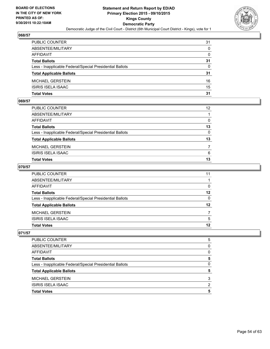![](_page_53_Picture_2.jpeg)

| PUBLIC COUNTER                                           | 31           |
|----------------------------------------------------------|--------------|
| ABSENTEE/MILITARY                                        | $\mathbf{0}$ |
| AFFIDAVIT                                                | $\mathbf{0}$ |
| <b>Total Ballots</b>                                     | 31           |
| Less - Inapplicable Federal/Special Presidential Ballots | $\Omega$     |
| <b>Total Applicable Ballots</b>                          | 31           |
| MICHAEL GERSTEIN                                         | 16           |
| ISIRIS ISELA ISAAC                                       | 15           |
| Total Votes                                              | 31           |

## **069/57**

| PUBLIC COUNTER                                           | 12 <sup>2</sup> |
|----------------------------------------------------------|-----------------|
| ABSENTEE/MILITARY                                        |                 |
| AFFIDAVIT                                                | $\mathbf{0}$    |
| Total Ballots                                            | 13              |
| Less - Inapplicable Federal/Special Presidential Ballots | $\Omega$        |
| <b>Total Applicable Ballots</b>                          | 13              |
| MICHAEL GERSTEIN                                         | 7               |
| ISIRIS ISELA ISAAC                                       | 6               |
| Total Votes                                              | 13              |
|                                                          |                 |

## **070/57**

| PUBLIC COUNTER                                           | 11           |
|----------------------------------------------------------|--------------|
| ABSENTEE/MILITARY                                        |              |
| AFFIDAVIT                                                | 0            |
| <b>Total Ballots</b>                                     | $12 \,$      |
| Less - Inapplicable Federal/Special Presidential Ballots | $\mathbf{0}$ |
| <b>Total Applicable Ballots</b>                          | 12           |
| MICHAEL GERSTEIN                                         |              |
| ISIRIS ISELA ISAAC                                       | 5            |
| Total Votes                                              | 12           |
|                                                          |              |

| <b>PUBLIC COUNTER</b>                                    | 5 |
|----------------------------------------------------------|---|
| ABSENTEE/MILITARY                                        | 0 |
| AFFIDAVIT                                                | 0 |
| <b>Total Ballots</b>                                     | 5 |
| Less - Inapplicable Federal/Special Presidential Ballots | 0 |
| <b>Total Applicable Ballots</b>                          | 5 |
| <b>MICHAEL GERSTEIN</b>                                  | 3 |
| <b>ISIRIS ISELA ISAAC</b>                                | 2 |
| <b>Total Votes</b>                                       | 5 |
|                                                          |   |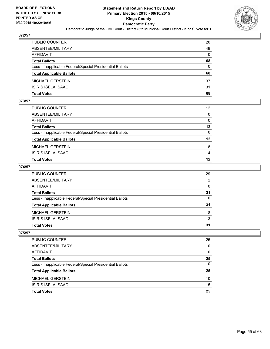![](_page_54_Picture_2.jpeg)

| PUBLIC COUNTER                                           | 20           |
|----------------------------------------------------------|--------------|
| ABSENTEE/MILITARY                                        | 48           |
| AFFIDAVIT                                                | $\mathbf{0}$ |
| Total Ballots                                            | 68           |
| Less - Inapplicable Federal/Special Presidential Ballots | $\mathbf{0}$ |
| <b>Total Applicable Ballots</b>                          | 68           |
| MICHAEL GERSTEIN                                         | 37           |
| ISIRIS ISELA ISAAC                                       | 31           |
| Total Votes                                              | 68           |

## **073/57**

| PUBLIC COUNTER                                           | 12 <sup>2</sup> |
|----------------------------------------------------------|-----------------|
|                                                          |                 |
| ABSENTEE/MILITARY                                        | $\mathbf{0}$    |
| AFFIDAVIT                                                | $\mathbf{0}$    |
| Total Ballots                                            | 12              |
| Less - Inapplicable Federal/Special Presidential Ballots | $\mathbf{0}$    |
| <b>Total Applicable Ballots</b>                          | 12              |
| MICHAEL GERSTEIN                                         | 8               |
| ISIRIS ISELA ISAAC                                       | $\overline{4}$  |
| Total Votes                                              | 12              |
|                                                          |                 |

## **074/57**

| PUBLIC COUNTER                                           | 29           |
|----------------------------------------------------------|--------------|
| ABSENTEE/MILITARY                                        | 2            |
| AFFIDAVIT                                                | $\Omega$     |
| Total Ballots                                            | 31           |
| Less - Inapplicable Federal/Special Presidential Ballots | $\mathbf{0}$ |
| <b>Total Applicable Ballots</b>                          | 31           |
| MICHAEL GERSTEIN                                         | 18           |
| ISIRIS ISELA ISAAC                                       | 13           |
| Total Votes                                              | 31           |
|                                                          |              |

| PUBLIC COUNTER                                           | 25 |
|----------------------------------------------------------|----|
| ABSENTEE/MILITARY                                        | 0  |
| AFFIDAVIT                                                | 0  |
| <b>Total Ballots</b>                                     | 25 |
| Less - Inapplicable Federal/Special Presidential Ballots | 0  |
| <b>Total Applicable Ballots</b>                          | 25 |
| <b>MICHAEL GERSTEIN</b>                                  | 10 |
| ISIRIS ISELA ISAAC                                       | 15 |
| <b>Total Votes</b>                                       | 25 |
|                                                          |    |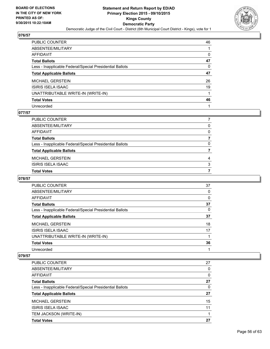![](_page_55_Picture_2.jpeg)

| PUBLIC COUNTER                                           | 46 |
|----------------------------------------------------------|----|
| ABSENTEE/MILITARY                                        |    |
| AFFIDAVIT                                                | 0  |
| <b>Total Ballots</b>                                     | 47 |
| Less - Inapplicable Federal/Special Presidential Ballots | 0  |
| <b>Total Applicable Ballots</b>                          | 47 |
| MICHAEL GERSTEIN                                         | 26 |
| ISIRIS ISELA ISAAC                                       | 19 |
| UNATTRIBUTABLE WRITE-IN (WRITE-IN)                       |    |
| <b>Total Votes</b>                                       | 46 |
| Unrecorded                                               |    |

#### **077/57**

| PUBLIC COUNTER                                           |              |
|----------------------------------------------------------|--------------|
| ABSENTEE/MILITARY                                        | 0            |
| AFFIDAVIT                                                | $\mathbf{0}$ |
| Total Ballots                                            |              |
| Less - Inapplicable Federal/Special Presidential Ballots | $\Omega$     |
| <b>Total Applicable Ballots</b>                          |              |
| MICHAEL GERSTEIN                                         | 4            |
| ISIRIS ISELA ISAAC                                       | 3            |
| Total Votes                                              |              |
|                                                          |              |

#### **078/57**

| <b>PUBLIC COUNTER</b>                                    | 37 |
|----------------------------------------------------------|----|
| ABSENTEE/MILITARY                                        | 0  |
| AFFIDAVIT                                                | 0  |
| <b>Total Ballots</b>                                     | 37 |
| Less - Inapplicable Federal/Special Presidential Ballots | 0  |
| <b>Total Applicable Ballots</b>                          | 37 |
| <b>MICHAEL GERSTEIN</b>                                  | 18 |
| ISIRIS ISELA ISAAC                                       | 17 |
| UNATTRIBUTABLE WRITE-IN (WRITE-IN)                       |    |
| <b>Total Votes</b>                                       | 36 |
| Unrecorded                                               |    |

| <b>PUBLIC COUNTER</b>                                    | 27 |
|----------------------------------------------------------|----|
| ABSENTEE/MILITARY                                        | 0  |
| <b>AFFIDAVIT</b>                                         | 0  |
| <b>Total Ballots</b>                                     | 27 |
| Less - Inapplicable Federal/Special Presidential Ballots | 0  |
| <b>Total Applicable Ballots</b>                          | 27 |
| <b>MICHAEL GERSTEIN</b>                                  | 15 |
| <b>ISIRIS ISELA ISAAC</b>                                | 11 |
| TEM JACKSON (WRITE-IN)                                   |    |
| <b>Total Votes</b>                                       | 27 |
|                                                          |    |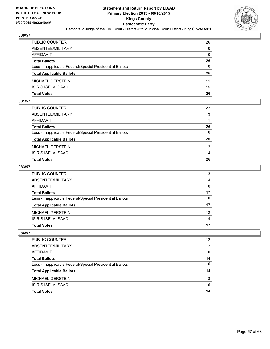![](_page_56_Picture_2.jpeg)

| PUBLIC COUNTER                                           | 26           |
|----------------------------------------------------------|--------------|
| ABSENTEE/MILITARY                                        | $\mathbf{0}$ |
| AFFIDAVIT                                                | $\mathbf{0}$ |
| Total Ballots                                            | 26           |
| Less - Inapplicable Federal/Special Presidential Ballots | $\Omega$     |
| <b>Total Applicable Ballots</b>                          | 26           |
| MICHAEL GERSTEIN                                         | 11           |
| ISIRIS ISELA ISAAC                                       | 15           |
| Total Votes                                              | 26           |

## **081/57**

| Total Votes                                              | 26              |
|----------------------------------------------------------|-----------------|
| ISIRIS ISELA ISAAC                                       | 14              |
| MICHAEL GERSTEIN                                         | 12 <sup>2</sup> |
| <b>Total Applicable Ballots</b>                          | 26              |
| Less - Inapplicable Federal/Special Presidential Ballots | $\mathbf{0}$    |
| Total Ballots                                            | 26              |
| AFFIDAVIT                                                |                 |
| ABSENTEE/MILITARY                                        | 3               |
| PUBLIC COUNTER                                           | 22              |
|                                                          |                 |

## **083/57**

| PUBLIC COUNTER                                           | 13             |
|----------------------------------------------------------|----------------|
| ABSENTEE/MILITARY                                        | $\overline{4}$ |
| AFFIDAVIT                                                | $\mathbf{0}$   |
| <b>Total Ballots</b>                                     | 17             |
| Less - Inapplicable Federal/Special Presidential Ballots | $\mathbf{0}$   |
| <b>Total Applicable Ballots</b>                          | 17             |
| MICHAEL GERSTEIN                                         | 13             |
| ISIRIS ISELA ISAAC                                       | 4              |
| Total Votes                                              | 17             |
|                                                          |                |

| PUBLIC COUNTER                                           | 12 |
|----------------------------------------------------------|----|
| ABSENTEE/MILITARY                                        | 2  |
| <b>AFFIDAVIT</b>                                         | 0  |
| <b>Total Ballots</b>                                     | 14 |
| Less - Inapplicable Federal/Special Presidential Ballots | 0  |
| <b>Total Applicable Ballots</b>                          | 14 |
| <b>MICHAEL GERSTEIN</b>                                  | 8  |
| ISIRIS ISELA ISAAC                                       | 6  |
| <b>Total Votes</b>                                       | 14 |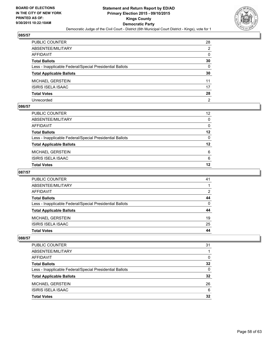![](_page_57_Picture_2.jpeg)

| PUBLIC COUNTER                                           | 28 |
|----------------------------------------------------------|----|
| ABSENTEE/MILITARY                                        | 2  |
| AFFIDAVIT                                                | 0  |
| Total Ballots                                            | 30 |
| Less - Inapplicable Federal/Special Presidential Ballots | 0  |
| <b>Total Applicable Ballots</b>                          | 30 |
| MICHAEL GERSTEIN                                         | 11 |
| ISIRIS ISELA ISAAC                                       | 17 |
| <b>Total Votes</b>                                       | 28 |
| Unrecorded                                               | 2  |

#### **086/57**

| PUBLIC COUNTER                                           | 12 <sup>°</sup> |
|----------------------------------------------------------|-----------------|
| ABSENTEE/MILITARY                                        | 0               |
| AFFIDAVIT                                                | 0               |
| Total Ballots                                            | 12              |
| Less - Inapplicable Federal/Special Presidential Ballots | 0               |
| <b>Total Applicable Ballots</b>                          | $12 \,$         |
| MICHAEL GERSTEIN                                         | 6               |
| ISIRIS ISELA ISAAC                                       | 6               |
| <b>Total Votes</b>                                       | 12              |
|                                                          |                 |

## **087/57**

| <b>PUBLIC COUNTER</b>                                    | 41       |
|----------------------------------------------------------|----------|
| ABSENTEE/MILITARY                                        |          |
| AFFIDAVIT                                                | 2        |
| <b>Total Ballots</b>                                     | 44       |
| Less - Inapplicable Federal/Special Presidential Ballots | $\Omega$ |
| <b>Total Applicable Ballots</b>                          | 44       |
| <b>MICHAEL GERSTEIN</b>                                  | 19       |
| <b>ISIRIS ISELA ISAAC</b>                                | 25       |
| <b>Total Votes</b>                                       | 44       |

| <b>PUBLIC COUNTER</b>                                    | 31 |
|----------------------------------------------------------|----|
| ABSENTEE/MILITARY                                        |    |
| AFFIDAVIT                                                | 0  |
| <b>Total Ballots</b>                                     | 32 |
| Less - Inapplicable Federal/Special Presidential Ballots | 0  |
| <b>Total Applicable Ballots</b>                          | 32 |
| <b>MICHAEL GERSTEIN</b>                                  | 26 |
| ISIRIS ISELA ISAAC                                       | 6  |
| <b>Total Votes</b>                                       | 32 |
|                                                          |    |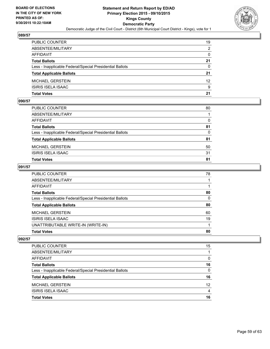![](_page_58_Picture_2.jpeg)

| PUBLIC COUNTER                                           | 19              |
|----------------------------------------------------------|-----------------|
| ABSENTEE/MILITARY                                        | 2               |
| AFFIDAVIT                                                | $\mathbf{0}$    |
| Total Ballots                                            | 21              |
| Less - Inapplicable Federal/Special Presidential Ballots | $\mathbf{0}$    |
| <b>Total Applicable Ballots</b>                          | 21              |
| MICHAEL GERSTEIN                                         | 12 <sup>2</sup> |
| ISIRIS ISELA ISAAC                                       | 9               |
| Total Votes                                              | 21              |

## **090/57**

| <b>Total Votes</b>                                       | 81       |
|----------------------------------------------------------|----------|
| <b>ISIRIS ISELA ISAAC</b>                                | 31       |
| MICHAEL GERSTEIN                                         | 50       |
| <b>Total Applicable Ballots</b>                          | 81       |
| Less - Inapplicable Federal/Special Presidential Ballots | $\Omega$ |
| <b>Total Ballots</b>                                     | 81       |
| AFFIDAVIT                                                | $\Omega$ |
| ABSENTEE/MILITARY                                        |          |
| PUBLIC COUNTER                                           | 80       |

## **091/57**

| PUBLIC COUNTER                                           | 78       |
|----------------------------------------------------------|----------|
| ABSENTEE/MILITARY                                        |          |
| <b>AFFIDAVIT</b>                                         |          |
| <b>Total Ballots</b>                                     | 80       |
| Less - Inapplicable Federal/Special Presidential Ballots | $\Omega$ |
| <b>Total Applicable Ballots</b>                          | 80       |
| <b>MICHAEL GERSTEIN</b>                                  | 60       |
| ISIRIS ISELA ISAAC                                       | 19       |
| UNATTRIBUTABLE WRITE-IN (WRITE-IN)                       |          |
| <b>Total Votes</b>                                       | 80       |

| <b>Total Votes</b>                                       | 16              |
|----------------------------------------------------------|-----------------|
| ISIRIS ISELA ISAAC                                       | 4               |
| <b>MICHAEL GERSTEIN</b>                                  | 12 <sup>2</sup> |
| <b>Total Applicable Ballots</b>                          | 16              |
| Less - Inapplicable Federal/Special Presidential Ballots | 0               |
| <b>Total Ballots</b>                                     | 16              |
| AFFIDAVIT                                                | 0               |
| ABSENTEE/MILITARY                                        |                 |
| <b>PUBLIC COUNTER</b>                                    | 15              |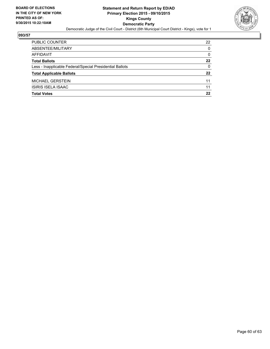![](_page_59_Picture_2.jpeg)

| PUBLIC COUNTER                                           | 22           |
|----------------------------------------------------------|--------------|
| ABSENTEE/MILITARY                                        | $\Omega$     |
| <b>AFFIDAVIT</b>                                         | $\mathbf{0}$ |
| <b>Total Ballots</b>                                     | 22           |
| Less - Inapplicable Federal/Special Presidential Ballots | 0            |
| <b>Total Applicable Ballots</b>                          | 22           |
| <b>MICHAEL GERSTEIN</b>                                  | 11           |
| <b>ISIRIS ISELA ISAAC</b>                                | 11           |
| <b>Total Votes</b>                                       | 22           |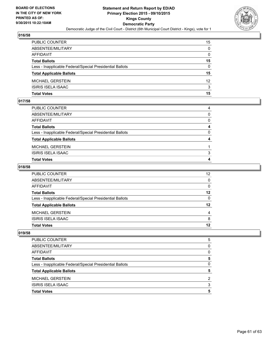![](_page_60_Picture_2.jpeg)

| PUBLIC COUNTER                                           | 15              |
|----------------------------------------------------------|-----------------|
| ABSENTEE/MILITARY                                        | $\mathbf{0}$    |
| AFFIDAVIT                                                | $\mathbf{0}$    |
| <b>Total Ballots</b>                                     | 15              |
| Less - Inapplicable Federal/Special Presidential Ballots | $\Omega$        |
| <b>Total Applicable Ballots</b>                          | 15              |
| MICHAEL GERSTEIN                                         | 12 <sup>2</sup> |
| ISIRIS ISELA ISAAC                                       | 3               |
| Total Votes                                              | 15              |

### **017/58**

| <b>Total Votes</b>                                       | 4        |
|----------------------------------------------------------|----------|
| <b>ISIRIS ISELA ISAAC</b>                                | 3        |
| MICHAEL GERSTEIN                                         |          |
| <b>Total Applicable Ballots</b>                          | 4        |
| Less - Inapplicable Federal/Special Presidential Ballots | $\Omega$ |
| <b>Total Ballots</b>                                     | 4        |
| AFFIDAVIT                                                | $\Omega$ |
| ABSENTEE/MILITARY                                        | $\Omega$ |
| PUBLIC COUNTER                                           | 4        |

## **018/58**

| PUBLIC COUNTER                                           | 12 <sup>2</sup> |
|----------------------------------------------------------|-----------------|
|                                                          |                 |
| ABSENTEE/MILITARY                                        | $\mathbf{0}$    |
| AFFIDAVIT                                                | $\Omega$        |
| <b>Total Ballots</b>                                     | $12 \,$         |
| Less - Inapplicable Federal/Special Presidential Ballots | $\mathbf{0}$    |
| <b>Total Applicable Ballots</b>                          | 12              |
| MICHAEL GERSTEIN                                         | 4               |
| ISIRIS ISELA ISAAC                                       | 8               |
| Total Votes                                              | 12              |
|                                                          |                 |

| PUBLIC COUNTER                                           | 5 |
|----------------------------------------------------------|---|
| ABSENTEE/MILITARY                                        | 0 |
| AFFIDAVIT                                                | 0 |
| <b>Total Ballots</b>                                     | 5 |
| Less - Inapplicable Federal/Special Presidential Ballots | 0 |
| <b>Total Applicable Ballots</b>                          | 5 |
| <b>MICHAEL GERSTEIN</b>                                  | 2 |
| ISIRIS ISELA ISAAC                                       | 3 |
| <b>Total Votes</b>                                       | 5 |
|                                                          |   |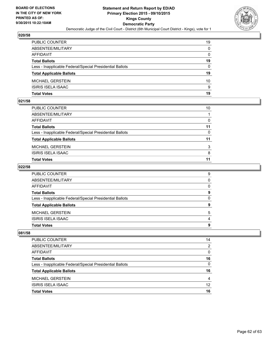![](_page_61_Picture_2.jpeg)

| PUBLIC COUNTER                                           | 19           |
|----------------------------------------------------------|--------------|
| ABSENTEE/MILITARY                                        | $\mathbf{0}$ |
| AFFIDAVIT                                                | $\mathbf{0}$ |
| <b>Total Ballots</b>                                     | 19           |
| Less - Inapplicable Federal/Special Presidential Ballots | $\Omega$     |
| <b>Total Applicable Ballots</b>                          | 19           |
| MICHAEL GERSTEIN                                         | 10           |
| ISIRIS ISELA ISAAC                                       | 9            |
| Total Votes                                              | 19           |

## **021/58**

| PUBLIC COUNTER                                           | 10           |
|----------------------------------------------------------|--------------|
| ABSENTEE/MILITARY                                        |              |
| AFFIDAVIT                                                | 0            |
| Total Ballots                                            | 11           |
| Less - Inapplicable Federal/Special Presidential Ballots | $\mathbf{0}$ |
| <b>Total Applicable Ballots</b>                          | 11           |
| MICHAEL GERSTEIN                                         | 3            |
| ISIRIS ISELA ISAAC                                       | 8            |
| Total Votes                                              | 11           |
|                                                          |              |

#### **022/58**

| PUBLIC COUNTER                                           | 9            |
|----------------------------------------------------------|--------------|
| ABSENTEE/MILITARY                                        | $\Omega$     |
| AFFIDAVIT                                                | $\Omega$     |
| <b>Total Ballots</b>                                     | 9            |
| Less - Inapplicable Federal/Special Presidential Ballots | $\mathbf{0}$ |
| <b>Total Applicable Ballots</b>                          | 9            |
| MICHAEL GERSTEIN                                         | 5            |
| ISIRIS ISELA ISAAC                                       | 4            |
| Total Votes                                              | 9            |
|                                                          |              |

| PUBLIC COUNTER                                           | 14 |
|----------------------------------------------------------|----|
| ABSENTEE/MILITARY                                        | 2  |
| AFFIDAVIT                                                | 0  |
| <b>Total Ballots</b>                                     | 16 |
| Less - Inapplicable Federal/Special Presidential Ballots | 0  |
| <b>Total Applicable Ballots</b>                          | 16 |
| <b>MICHAEL GERSTEIN</b>                                  | 4  |
| <b>ISIRIS ISELA ISAAC</b>                                | 12 |
| <b>Total Votes</b>                                       | 16 |
|                                                          |    |